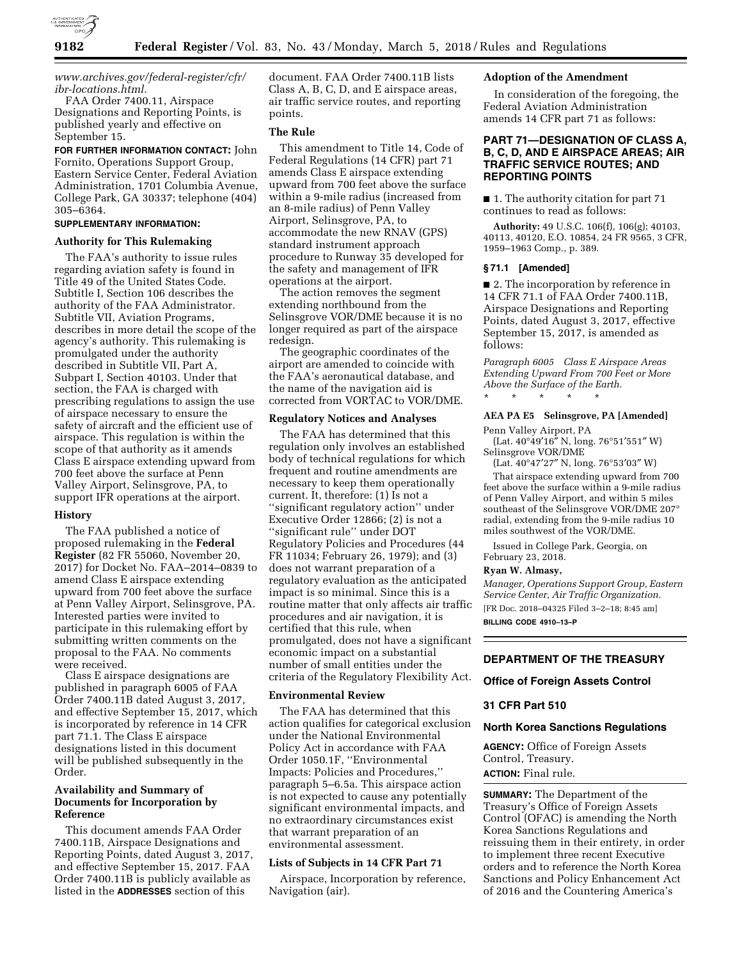

# *www.archives.gov/federal-register/cfr/ ibr-locations.html.*

FAA Order 7400.11, Airspace Designations and Reporting Points, is published yearly and effective on September 15.

**FOR FURTHER INFORMATION CONTACT:** John Fornito, Operations Support Group, Eastern Service Center, Federal Aviation Administration, 1701 Columbia Avenue, College Park, GA 30337; telephone (404) 305–6364.

# **SUPPLEMENTARY INFORMATION:**

#### **Authority for This Rulemaking**

The FAA's authority to issue rules regarding aviation safety is found in Title 49 of the United States Code. Subtitle I, Section 106 describes the authority of the FAA Administrator. Subtitle VII, Aviation Programs, describes in more detail the scope of the agency's authority. This rulemaking is promulgated under the authority described in Subtitle VII, Part A, Subpart I, Section 40103. Under that section, the FAA is charged with prescribing regulations to assign the use of airspace necessary to ensure the safety of aircraft and the efficient use of airspace. This regulation is within the scope of that authority as it amends Class E airspace extending upward from 700 feet above the surface at Penn Valley Airport, Selinsgrove, PA, to support IFR operations at the airport.

### **History**

The FAA published a notice of proposed rulemaking in the **Federal Register** (82 FR 55060, November 20, 2017) for Docket No. FAA–2014–0839 to amend Class E airspace extending upward from 700 feet above the surface at Penn Valley Airport, Selinsgrove, PA. Interested parties were invited to participate in this rulemaking effort by submitting written comments on the proposal to the FAA. No comments were received.

Class E airspace designations are published in paragraph 6005 of FAA Order 7400.11B dated August 3, 2017, and effective September 15, 2017, which is incorporated by reference in 14 CFR part 71.1. The Class E airspace designations listed in this document will be published subsequently in the Order.

# **Availability and Summary of Documents for Incorporation by Reference**

This document amends FAA Order 7400.11B, Airspace Designations and Reporting Points, dated August 3, 2017, and effective September 15, 2017. FAA Order 7400.11B is publicly available as listed in the **ADDRESSES** section of this

document. FAA Order 7400.11B lists Class A, B, C, D, and E airspace areas, air traffic service routes, and reporting points.

### **The Rule**

This amendment to Title 14, Code of Federal Regulations (14 CFR) part 71 amends Class E airspace extending upward from 700 feet above the surface within a 9-mile radius (increased from an 8-mile radius) of Penn Valley Airport, Selinsgrove, PA, to accommodate the new RNAV (GPS) standard instrument approach procedure to Runway 35 developed for the safety and management of IFR operations at the airport.

The action removes the segment extending northbound from the Selinsgrove VOR/DME because it is no longer required as part of the airspace redesign.

The geographic coordinates of the airport are amended to coincide with the FAA's aeronautical database, and the name of the navigation aid is corrected from VORTAC to VOR/DME.

# **Regulatory Notices and Analyses**

The FAA has determined that this regulation only involves an established body of technical regulations for which frequent and routine amendments are necessary to keep them operationally current. It, therefore: (1) Is not a ''significant regulatory action'' under Executive Order 12866; (2) is not a ''significant rule'' under DOT Regulatory Policies and Procedures (44 FR 11034; February 26, 1979); and (3) does not warrant preparation of a regulatory evaluation as the anticipated impact is so minimal. Since this is a routine matter that only affects air traffic procedures and air navigation, it is certified that this rule, when promulgated, does not have a significant economic impact on a substantial number of small entities under the criteria of the Regulatory Flexibility Act.

#### **Environmental Review**

The FAA has determined that this action qualifies for categorical exclusion under the National Environmental Policy Act in accordance with FAA Order 1050.1F, ''Environmental Impacts: Policies and Procedures,'' paragraph 5–6.5a. This airspace action is not expected to cause any potentially significant environmental impacts, and no extraordinary circumstances exist that warrant preparation of an environmental assessment.

### **Lists of Subjects in 14 CFR Part 71**

Airspace, Incorporation by reference, Navigation (air).

# **Adoption of the Amendment**

In consideration of the foregoing, the Federal Aviation Administration amends 14 CFR part 71 as follows:

# **PART 71—DESIGNATION OF CLASS A, B, C, D, AND E AIRSPACE AREAS; AIR TRAFFIC SERVICE ROUTES; AND REPORTING POINTS**

■ 1. The authority citation for part 71 continues to read as follows:

**Authority:** 49 U.S.C. 106(f), 106(g); 40103, 40113, 40120, E.O. 10854, 24 FR 9565, 3 CFR, 1959–1963 Comp., p. 389.

#### **§ 71.1 [Amended]**

■ 2. The incorporation by reference in 14 CFR 71.1 of FAA Order 7400.11B, Airspace Designations and Reporting Points, dated August 3, 2017, effective September 15, 2017, is amended as follows:

*Paragraph 6005 Class E Airspace Areas Extending Upward From 700 Feet or More Above the Surface of the Earth.*  \* \* \* \* \*

#### **AEA PA E5 Selinsgrove, PA [Amended]**

Penn Valley Airport, PA

(Lat. 40°49′16″ N, long. 76°51′551″ W) Selinsgrove VOR/DME

(Lat. 40°47′27″ N, long. 76°53′03″ W)

That airspace extending upward from 700 feet above the surface within a 9-mile radius of Penn Valley Airport, and within 5 miles southeast of the Selinsgrove VOR/DME 207° radial, extending from the 9-mile radius 10 miles southwest of the VOR/DME.

Issued in College Park, Georgia, on February 23, 2018.

#### **Ryan W. Almasy,**

*Manager, Operations Support Group, Eastern Service Center, Air Traffic Organization.*  [FR Doc. 2018–04325 Filed 3–2–18; 8:45 am] **BILLING CODE 4910–13–P** 

# **DEPARTMENT OF THE TREASURY**

### **Office of Foreign Assets Control**

### **31 CFR Part 510**

### **North Korea Sanctions Regulations**

**AGENCY:** Office of Foreign Assets Control, Treasury. **ACTION:** Final rule.

**SUMMARY:** The Department of the Treasury's Office of Foreign Assets Control (OFAC) is amending the North Korea Sanctions Regulations and reissuing them in their entirety, in order to implement three recent Executive orders and to reference the North Korea Sanctions and Policy Enhancement Act of 2016 and the Countering America's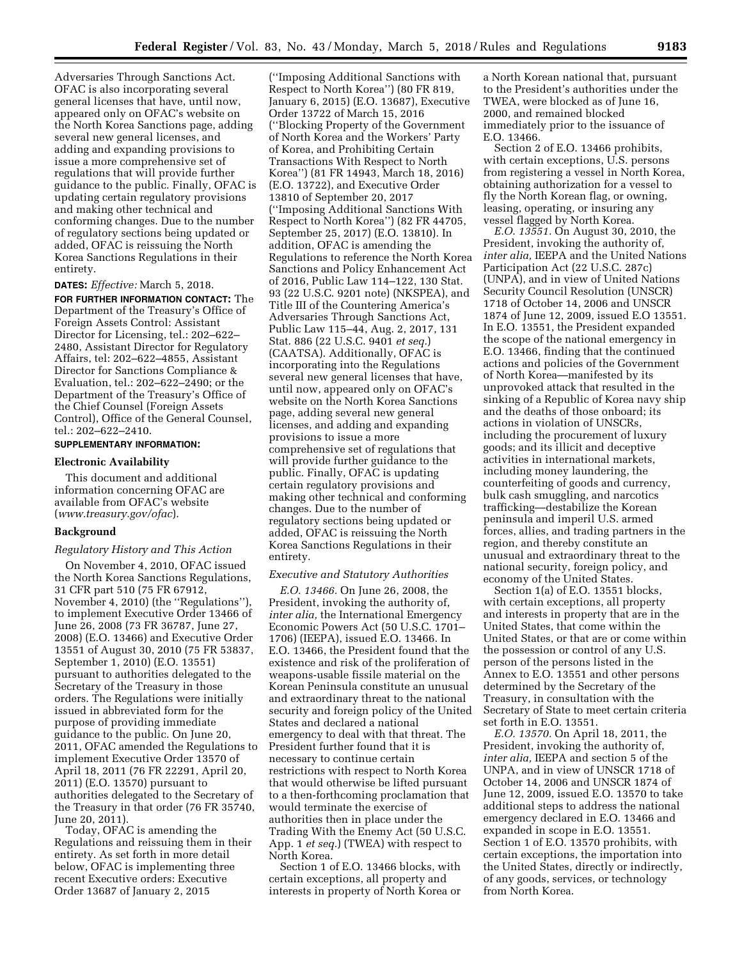Adversaries Through Sanctions Act. OFAC is also incorporating several general licenses that have, until now, appeared only on OFAC's website on the North Korea Sanctions page, adding several new general licenses, and adding and expanding provisions to issue a more comprehensive set of regulations that will provide further guidance to the public. Finally, OFAC is updating certain regulatory provisions and making other technical and conforming changes. Due to the number of regulatory sections being updated or added, OFAC is reissuing the North Korea Sanctions Regulations in their entirety.

**DATES:** *Effective:* March 5, 2018.

**FOR FURTHER INFORMATION CONTACT:** The Department of the Treasury's Office of Foreign Assets Control: Assistant Director for Licensing, tel.: 202–622– 2480, Assistant Director for Regulatory Affairs, tel: 202–622–4855, Assistant Director for Sanctions Compliance & Evaluation, tel.: 202–622–2490; or the Department of the Treasury's Office of the Chief Counsel (Foreign Assets Control), Office of the General Counsel, tel.: 202–622–2410.

# **SUPPLEMENTARY INFORMATION:**

#### **Electronic Availability**

This document and additional information concerning OFAC are available from OFAC's website (*www.treasury.gov/ofac*).

### **Background**

# *Regulatory History and This Action*

On November 4, 2010, OFAC issued the North Korea Sanctions Regulations, 31 CFR part 510 (75 FR 67912, November 4, 2010) (the ''Regulations''), to implement Executive Order 13466 of June 26, 2008 (73 FR 36787, June 27, 2008) (E.O. 13466) and Executive Order 13551 of August 30, 2010 (75 FR 53837, September 1, 2010) (E.O. 13551) pursuant to authorities delegated to the Secretary of the Treasury in those orders. The Regulations were initially issued in abbreviated form for the purpose of providing immediate guidance to the public. On June 20, 2011, OFAC amended the Regulations to implement Executive Order 13570 of April 18, 2011 (76 FR 22291, April 20, 2011) (E.O. 13570) pursuant to authorities delegated to the Secretary of the Treasury in that order (76 FR 35740, June 20, 2011).

Today, OFAC is amending the Regulations and reissuing them in their entirety. As set forth in more detail below, OFAC is implementing three recent Executive orders: Executive Order 13687 of January 2, 2015

(''Imposing Additional Sanctions with Respect to North Korea'') (80 FR 819, January 6, 2015) (E.O. 13687), Executive Order 13722 of March 15, 2016 (''Blocking Property of the Government of North Korea and the Workers' Party of Korea, and Prohibiting Certain Transactions With Respect to North Korea'') (81 FR 14943, March 18, 2016) (E.O. 13722), and Executive Order 13810 of September 20, 2017 (''Imposing Additional Sanctions With Respect to North Korea'') (82 FR 44705, September 25, 2017) (E.O. 13810). In addition, OFAC is amending the Regulations to reference the North Korea Sanctions and Policy Enhancement Act of 2016, Public Law 114–122, 130 Stat. 93 (22 U.S.C. 9201 note) (NKSPEA), and Title III of the Countering America's Adversaries Through Sanctions Act, Public Law 115–44, Aug. 2, 2017, 131 Stat. 886 (22 U.S.C. 9401 *et seq.*) (CAATSA). Additionally, OFAC is incorporating into the Regulations several new general licenses that have, until now, appeared only on OFAC's website on the North Korea Sanctions page, adding several new general licenses, and adding and expanding provisions to issue a more comprehensive set of regulations that will provide further guidance to the public. Finally, OFAC is updating certain regulatory provisions and making other technical and conforming changes. Due to the number of regulatory sections being updated or added, OFAC is reissuing the North Korea Sanctions Regulations in their entirety.

### *Executive and Statutory Authorities*

*E.O. 13466.* On June 26, 2008, the President, invoking the authority of, *inter alia,* the International Emergency Economic Powers Act (50 U.S.C. 1701– 1706) (IEEPA), issued E.O. 13466. In E.O. 13466, the President found that the existence and risk of the proliferation of weapons-usable fissile material on the Korean Peninsula constitute an unusual and extraordinary threat to the national security and foreign policy of the United States and declared a national emergency to deal with that threat. The President further found that it is necessary to continue certain restrictions with respect to North Korea that would otherwise be lifted pursuant to a then-forthcoming proclamation that would terminate the exercise of authorities then in place under the Trading With the Enemy Act (50 U.S.C. App. 1 *et seq.*) (TWEA) with respect to North Korea.

Section 1 of E.O. 13466 blocks, with certain exceptions, all property and interests in property of North Korea or a North Korean national that, pursuant to the President's authorities under the TWEA, were blocked as of June 16, 2000, and remained blocked immediately prior to the issuance of E.O. 13466.

Section 2 of E.O. 13466 prohibits, with certain exceptions, U.S. persons from registering a vessel in North Korea, obtaining authorization for a vessel to fly the North Korean flag, or owning, leasing, operating, or insuring any vessel flagged by North Korea.

*E.O. 13551.* On August 30, 2010, the President, invoking the authority of, *inter alia,* IEEPA and the United Nations Participation Act (22 U.S.C. 287c) (UNPA), and in view of United Nations Security Council Resolution (UNSCR) 1718 of October 14, 2006 and UNSCR 1874 of June 12, 2009, issued E.O 13551. In E.O. 13551, the President expanded the scope of the national emergency in E.O. 13466, finding that the continued actions and policies of the Government of North Korea—manifested by its unprovoked attack that resulted in the sinking of a Republic of Korea navy ship and the deaths of those onboard; its actions in violation of UNSCRs, including the procurement of luxury goods; and its illicit and deceptive activities in international markets, including money laundering, the counterfeiting of goods and currency, bulk cash smuggling, and narcotics trafficking—destabilize the Korean peninsula and imperil U.S. armed forces, allies, and trading partners in the region, and thereby constitute an unusual and extraordinary threat to the national security, foreign policy, and economy of the United States.

Section 1(a) of E.O. 13551 blocks, with certain exceptions, all property and interests in property that are in the United States, that come within the United States, or that are or come within the possession or control of any U.S. person of the persons listed in the Annex to E.O. 13551 and other persons determined by the Secretary of the Treasury, in consultation with the Secretary of State to meet certain criteria set forth in E.O. 13551.

*E.O. 13570.* On April 18, 2011, the President, invoking the authority of, *inter alia,* IEEPA and section 5 of the UNPA, and in view of UNSCR 1718 of October 14, 2006 and UNSCR 1874 of June 12, 2009, issued E.O. 13570 to take additional steps to address the national emergency declared in E.O. 13466 and expanded in scope in E.O. 13551. Section 1 of E.O. 13570 prohibits, with certain exceptions, the importation into the United States, directly or indirectly, of any goods, services, or technology from North Korea.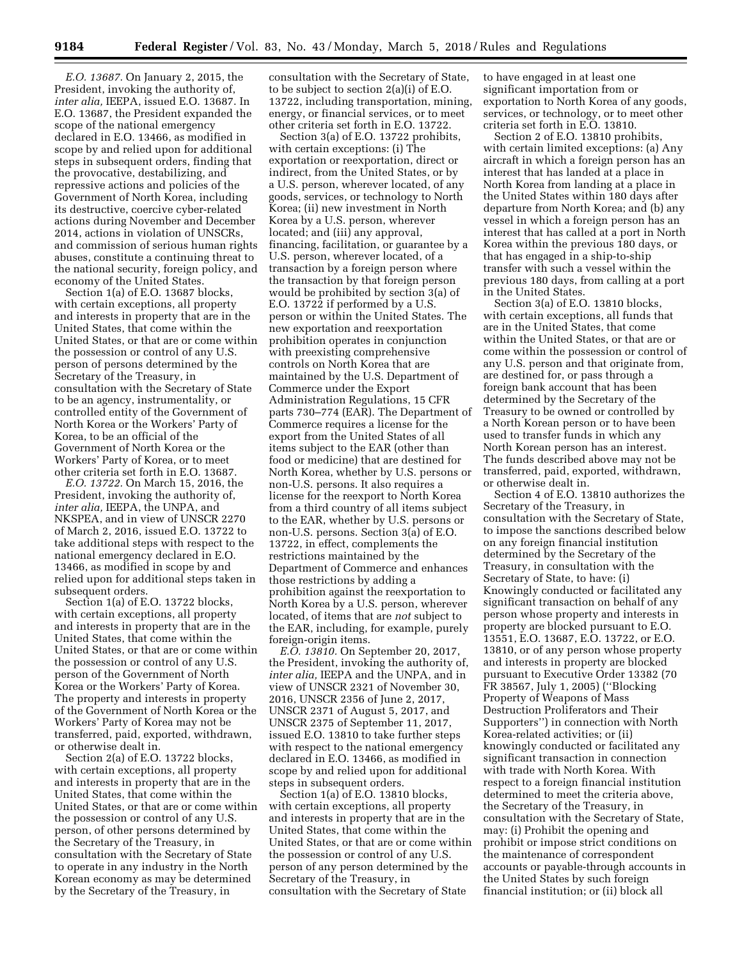*E.O. 13687.* On January 2, 2015, the President, invoking the authority of, *inter alia,* IEEPA, issued E.O. 13687. In E.O. 13687, the President expanded the scope of the national emergency declared in E.O. 13466, as modified in scope by and relied upon for additional steps in subsequent orders, finding that the provocative, destabilizing, and repressive actions and policies of the Government of North Korea, including its destructive, coercive cyber-related actions during November and December 2014, actions in violation of UNSCRs, and commission of serious human rights abuses, constitute a continuing threat to the national security, foreign policy, and economy of the United States.

Section 1(a) of E.O. 13687 blocks, with certain exceptions, all property and interests in property that are in the United States, that come within the United States, or that are or come within the possession or control of any U.S. person of persons determined by the Secretary of the Treasury, in consultation with the Secretary of State to be an agency, instrumentality, or controlled entity of the Government of North Korea or the Workers' Party of Korea, to be an official of the Government of North Korea or the Workers' Party of Korea, or to meet other criteria set forth in E.O. 13687.

*E.O. 13722.* On March 15, 2016, the President, invoking the authority of, *inter alia,* IEEPA, the UNPA, and NKSPEA, and in view of UNSCR 2270 of March 2, 2016, issued E.O. 13722 to take additional steps with respect to the national emergency declared in E.O. 13466, as modified in scope by and relied upon for additional steps taken in subsequent orders.

Section 1(a) of E.O. 13722 blocks, with certain exceptions, all property and interests in property that are in the United States, that come within the United States, or that are or come within the possession or control of any U.S. person of the Government of North Korea or the Workers' Party of Korea. The property and interests in property of the Government of North Korea or the Workers' Party of Korea may not be transferred, paid, exported, withdrawn, or otherwise dealt in.

Section 2(a) of E.O. 13722 blocks, with certain exceptions, all property and interests in property that are in the United States, that come within the United States, or that are or come within the possession or control of any U.S. person, of other persons determined by the Secretary of the Treasury, in consultation with the Secretary of State to operate in any industry in the North Korean economy as may be determined by the Secretary of the Treasury, in

consultation with the Secretary of State, to be subject to section 2(a)(i) of E.O. 13722, including transportation, mining, energy, or financial services, or to meet other criteria set forth in E.O. 13722.

Section 3(a) of E.O. 13722 prohibits, with certain exceptions: (i) The exportation or reexportation, direct or indirect, from the United States, or by a U.S. person, wherever located, of any goods, services, or technology to North Korea; (ii) new investment in North Korea by a U.S. person, wherever located; and (iii) any approval, financing, facilitation, or guarantee by a U.S. person, wherever located, of a transaction by a foreign person where the transaction by that foreign person would be prohibited by section 3(a) of E.O. 13722 if performed by a U.S. person or within the United States. The new exportation and reexportation prohibition operates in conjunction with preexisting comprehensive controls on North Korea that are maintained by the U.S. Department of Commerce under the Export Administration Regulations, 15 CFR parts 730–774 (EAR). The Department of Commerce requires a license for the export from the United States of all items subject to the EAR (other than food or medicine) that are destined for North Korea, whether by U.S. persons or non-U.S. persons. It also requires a license for the reexport to North Korea from a third country of all items subject to the EAR, whether by U.S. persons or non-U.S. persons. Section 3(a) of E.O. 13722, in effect, complements the restrictions maintained by the Department of Commerce and enhances those restrictions by adding a prohibition against the reexportation to North Korea by a U.S. person, wherever located, of items that are *not* subject to the EAR, including, for example, purely foreign-origin items.

*E.O. 13810.* On September 20, 2017, the President, invoking the authority of, *inter alia,* IEEPA and the UNPA, and in view of UNSCR 2321 of November 30, 2016, UNSCR 2356 of June 2, 2017, UNSCR 2371 of August 5, 2017, and UNSCR 2375 of September 11, 2017, issued E.O. 13810 to take further steps with respect to the national emergency declared in E.O. 13466, as modified in scope by and relied upon for additional steps in subsequent orders.

Section 1(a) of E.O. 13810 blocks, with certain exceptions, all property and interests in property that are in the United States, that come within the United States, or that are or come within the possession or control of any U.S. person of any person determined by the Secretary of the Treasury, in consultation with the Secretary of State

to have engaged in at least one significant importation from or exportation to North Korea of any goods, services, or technology, or to meet other criteria set forth in E.O. 13810.

Section 2 of E.O. 13810 prohibits, with certain limited exceptions: (a) Any aircraft in which a foreign person has an interest that has landed at a place in North Korea from landing at a place in the United States within 180 days after departure from North Korea; and (b) any vessel in which a foreign person has an interest that has called at a port in North Korea within the previous 180 days, or that has engaged in a ship-to-ship transfer with such a vessel within the previous 180 days, from calling at a port in the United States.

Section 3(a) of E.O. 13810 blocks, with certain exceptions, all funds that are in the United States, that come within the United States, or that are or come within the possession or control of any U.S. person and that originate from, are destined for, or pass through a foreign bank account that has been determined by the Secretary of the Treasury to be owned or controlled by a North Korean person or to have been used to transfer funds in which any North Korean person has an interest. The funds described above may not be transferred, paid, exported, withdrawn, or otherwise dealt in.

Section 4 of E.O. 13810 authorizes the Secretary of the Treasury, in consultation with the Secretary of State, to impose the sanctions described below on any foreign financial institution determined by the Secretary of the Treasury, in consultation with the Secretary of State, to have: (i) Knowingly conducted or facilitated any significant transaction on behalf of any person whose property and interests in property are blocked pursuant to E.O. 13551, E.O. 13687, E.O. 13722, or E.O. 13810, or of any person whose property and interests in property are blocked pursuant to Executive Order 13382 (70 FR 38567, July 1, 2005) (''Blocking Property of Weapons of Mass Destruction Proliferators and Their Supporters'') in connection with North Korea-related activities; or (ii) knowingly conducted or facilitated any significant transaction in connection with trade with North Korea. With respect to a foreign financial institution determined to meet the criteria above, the Secretary of the Treasury, in consultation with the Secretary of State, may: (i) Prohibit the opening and prohibit or impose strict conditions on the maintenance of correspondent accounts or payable-through accounts in the United States by such foreign financial institution; or (ii) block all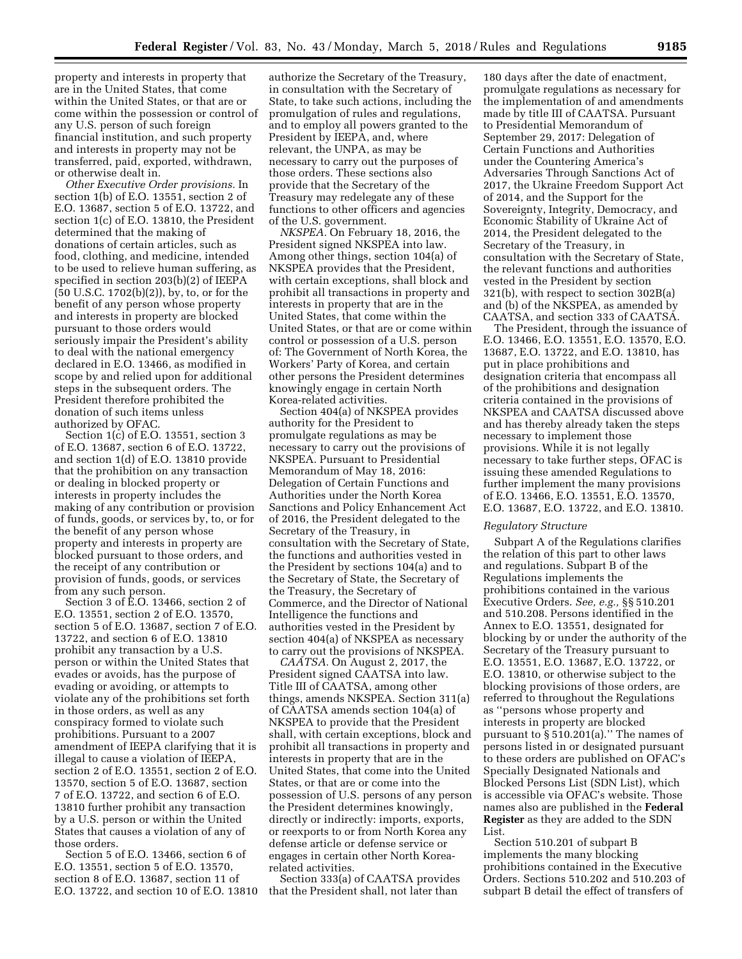property and interests in property that are in the United States, that come within the United States, or that are or come within the possession or control of any U.S. person of such foreign financial institution, and such property and interests in property may not be transferred, paid, exported, withdrawn, or otherwise dealt in.

*Other Executive Order provisions.* In section 1(b) of E.O. 13551, section 2 of E.O. 13687, section 5 of E.O. 13722, and section 1(c) of E.O. 13810, the President determined that the making of donations of certain articles, such as food, clothing, and medicine, intended to be used to relieve human suffering, as specified in section 203(b)(2) of IEEPA (50 U.S.C. 1702(b)(2)), by, to, or for the benefit of any person whose property and interests in property are blocked pursuant to those orders would seriously impair the President's ability to deal with the national emergency declared in E.O. 13466, as modified in scope by and relied upon for additional steps in the subsequent orders. The President therefore prohibited the donation of such items unless authorized by OFAC.

Section 1(c) of E.O. 13551, section 3 of E.O. 13687, section 6 of E.O. 13722, and section 1(d) of E.O. 13810 provide that the prohibition on any transaction or dealing in blocked property or interests in property includes the making of any contribution or provision of funds, goods, or services by, to, or for the benefit of any person whose property and interests in property are blocked pursuant to those orders, and the receipt of any contribution or provision of funds, goods, or services from any such person.

Section 3 of E.O. 13466, section 2 of E.O. 13551, section 2 of E.O. 13570, section 5 of E.O. 13687, section 7 of E.O. 13722, and section 6 of E.O. 13810 prohibit any transaction by a U.S. person or within the United States that evades or avoids, has the purpose of evading or avoiding, or attempts to violate any of the prohibitions set forth in those orders, as well as any conspiracy formed to violate such prohibitions. Pursuant to a 2007 amendment of IEEPA clarifying that it is illegal to cause a violation of IEEPA, section 2 of E.O. 13551, section 2 of E.O. 13570, section 5 of E.O. 13687, section 7 of E.O. 13722, and section 6 of E.O. 13810 further prohibit any transaction by a U.S. person or within the United States that causes a violation of any of those orders.

Section 5 of E.O. 13466, section 6 of E.O. 13551, section 5 of E.O. 13570, section 8 of E.O. 13687, section 11 of E.O. 13722, and section 10 of E.O. 13810

authorize the Secretary of the Treasury, in consultation with the Secretary of State, to take such actions, including the promulgation of rules and regulations, and to employ all powers granted to the President by IEEPA, and, where relevant, the UNPA, as may be necessary to carry out the purposes of those orders. These sections also provide that the Secretary of the Treasury may redelegate any of these functions to other officers and agencies of the U.S. government.

*NKSPEA.* On February 18, 2016, the President signed NKSPEA into law. Among other things, section 104(a) of NKSPEA provides that the President, with certain exceptions, shall block and prohibit all transactions in property and interests in property that are in the United States, that come within the United States, or that are or come within control or possession of a U.S. person of: The Government of North Korea, the Workers' Party of Korea, and certain other persons the President determines knowingly engage in certain North Korea-related activities.

Section 404(a) of NKSPEA provides authority for the President to promulgate regulations as may be necessary to carry out the provisions of NKSPEA. Pursuant to Presidential Memorandum of May 18, 2016: Delegation of Certain Functions and Authorities under the North Korea Sanctions and Policy Enhancement Act of 2016, the President delegated to the Secretary of the Treasury, in consultation with the Secretary of State, the functions and authorities vested in the President by sections 104(a) and to the Secretary of State, the Secretary of the Treasury, the Secretary of Commerce, and the Director of National Intelligence the functions and authorities vested in the President by section 404(a) of NKSPEA as necessary to carry out the provisions of NKSPEA.

*CAATSA.* On August 2, 2017, the President signed CAATSA into law. Title III of CAATSA, among other things, amends NKSPEA. Section 311(a) of CAATSA amends section 104(a) of NKSPEA to provide that the President shall, with certain exceptions, block and prohibit all transactions in property and interests in property that are in the United States, that come into the United States, or that are or come into the possession of U.S. persons of any person the President determines knowingly, directly or indirectly: imports, exports, or reexports to or from North Korea any defense article or defense service or engages in certain other North Korearelated activities.

Section 333(a) of CAATSA provides that the President shall, not later than

180 days after the date of enactment, promulgate regulations as necessary for the implementation of and amendments made by title III of CAATSA. Pursuant to Presidential Memorandum of September 29, 2017: Delegation of Certain Functions and Authorities under the Countering America's Adversaries Through Sanctions Act of 2017, the Ukraine Freedom Support Act of 2014, and the Support for the Sovereignty, Integrity, Democracy, and Economic Stability of Ukraine Act of 2014, the President delegated to the Secretary of the Treasury, in consultation with the Secretary of State, the relevant functions and authorities vested in the President by section 321(b), with respect to section 302B(a) and (b) of the NKSPEA, as amended by CAATSA, and section 333 of CAATSA.

The President, through the issuance of E.O. 13466, E.O. 13551, E.O. 13570, E.O. 13687, E.O. 13722, and E.O. 13810, has put in place prohibitions and designation criteria that encompass all of the prohibitions and designation criteria contained in the provisions of NKSPEA and CAATSA discussed above and has thereby already taken the steps necessary to implement those provisions. While it is not legally necessary to take further steps, OFAC is issuing these amended Regulations to further implement the many provisions of E.O. 13466, E.O. 13551, E.O. 13570, E.O. 13687, E.O. 13722, and E.O. 13810.

#### *Regulatory Structure*

Subpart A of the Regulations clarifies the relation of this part to other laws and regulations. Subpart B of the Regulations implements the prohibitions contained in the various Executive Orders. *See, e.g.,* §§ 510.201 and 510.208. Persons identified in the Annex to E.O. 13551, designated for blocking by or under the authority of the Secretary of the Treasury pursuant to E.O. 13551, E.O. 13687, E.O. 13722, or E.O. 13810, or otherwise subject to the blocking provisions of those orders, are referred to throughout the Regulations as ''persons whose property and interests in property are blocked pursuant to  $\S 510.201(a)$ ." The names of persons listed in or designated pursuant to these orders are published on OFAC's Specially Designated Nationals and Blocked Persons List (SDN List), which is accessible via OFAC's website. Those names also are published in the **Federal Register** as they are added to the SDN List.

Section 510.201 of subpart B implements the many blocking prohibitions contained in the Executive Orders. Sections 510.202 and 510.203 of subpart B detail the effect of transfers of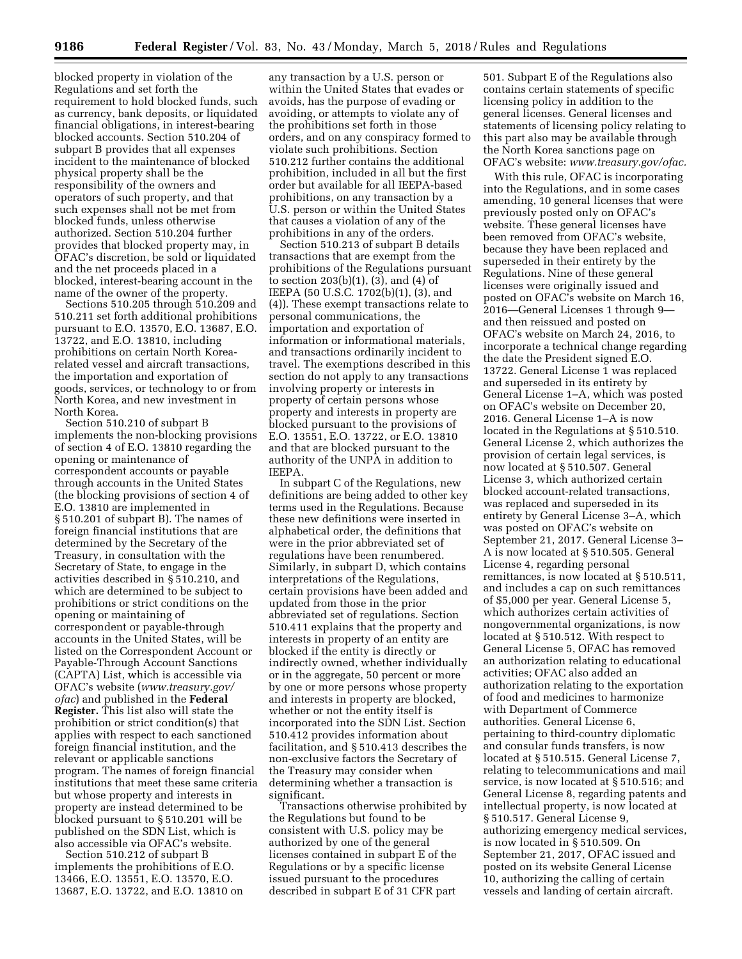blocked property in violation of the Regulations and set forth the requirement to hold blocked funds, such as currency, bank deposits, or liquidated financial obligations, in interest-bearing blocked accounts. Section 510.204 of subpart B provides that all expenses incident to the maintenance of blocked physical property shall be the responsibility of the owners and operators of such property, and that such expenses shall not be met from blocked funds, unless otherwise authorized. Section 510.204 further provides that blocked property may, in OFAC's discretion, be sold or liquidated and the net proceeds placed in a blocked, interest-bearing account in the name of the owner of the property.

Sections 510.205 through 510.209 and 510.211 set forth additional prohibitions pursuant to E.O. 13570, E.O. 13687, E.O. 13722, and E.O. 13810, including prohibitions on certain North Korearelated vessel and aircraft transactions, the importation and exportation of goods, services, or technology to or from North Korea, and new investment in North Korea.

Section 510.210 of subpart B implements the non-blocking provisions of section 4 of E.O. 13810 regarding the opening or maintenance of correspondent accounts or payable through accounts in the United States (the blocking provisions of section 4 of E.O. 13810 are implemented in § 510.201 of subpart B). The names of foreign financial institutions that are determined by the Secretary of the Treasury, in consultation with the Secretary of State, to engage in the activities described in § 510.210, and which are determined to be subject to prohibitions or strict conditions on the opening or maintaining of correspondent or payable-through accounts in the United States, will be listed on the Correspondent Account or Payable-Through Account Sanctions (CAPTA) List, which is accessible via OFAC's website (*www.treasury.gov/ ofac*) and published in the **Federal Register.** This list also will state the prohibition or strict condition(s) that applies with respect to each sanctioned foreign financial institution, and the relevant or applicable sanctions program. The names of foreign financial institutions that meet these same criteria but whose property and interests in property are instead determined to be blocked pursuant to § 510.201 will be published on the SDN List, which is also accessible via OFAC's website.

Section 510.212 of subpart B implements the prohibitions of E.O. 13466, E.O. 13551, E.O. 13570, E.O. 13687, E.O. 13722, and E.O. 13810 on

any transaction by a U.S. person or within the United States that evades or avoids, has the purpose of evading or avoiding, or attempts to violate any of the prohibitions set forth in those orders, and on any conspiracy formed to violate such prohibitions. Section 510.212 further contains the additional prohibition, included in all but the first order but available for all IEEPA-based prohibitions, on any transaction by a U.S. person or within the United States that causes a violation of any of the prohibitions in any of the orders.

Section 510.213 of subpart B details transactions that are exempt from the prohibitions of the Regulations pursuant to section 203(b)(1), (3), and (4) of IEEPA (50 U.S.C. 1702(b)(1), (3), and (4)). These exempt transactions relate to personal communications, the importation and exportation of information or informational materials, and transactions ordinarily incident to travel. The exemptions described in this section do not apply to any transactions involving property or interests in property of certain persons whose property and interests in property are blocked pursuant to the provisions of E.O. 13551, E.O. 13722, or E.O. 13810 and that are blocked pursuant to the authority of the UNPA in addition to IEEPA.

In subpart C of the Regulations, new definitions are being added to other key terms used in the Regulations. Because these new definitions were inserted in alphabetical order, the definitions that were in the prior abbreviated set of regulations have been renumbered. Similarly, in subpart D, which contains interpretations of the Regulations, certain provisions have been added and updated from those in the prior abbreviated set of regulations. Section 510.411 explains that the property and interests in property of an entity are blocked if the entity is directly or indirectly owned, whether individually or in the aggregate, 50 percent or more by one or more persons whose property and interests in property are blocked, whether or not the entity itself is incorporated into the SDN List. Section 510.412 provides information about facilitation, and § 510.413 describes the non-exclusive factors the Secretary of the Treasury may consider when determining whether a transaction is significant.

Transactions otherwise prohibited by the Regulations but found to be consistent with U.S. policy may be authorized by one of the general licenses contained in subpart E of the Regulations or by a specific license issued pursuant to the procedures described in subpart E of 31 CFR part

501. Subpart E of the Regulations also contains certain statements of specific licensing policy in addition to the general licenses. General licenses and statements of licensing policy relating to this part also may be available through the North Korea sanctions page on OFAC's website: *www.treasury.gov/ofac.* 

With this rule, OFAC is incorporating into the Regulations, and in some cases amending, 10 general licenses that were previously posted only on OFAC's website. These general licenses have been removed from OFAC's website, because they have been replaced and superseded in their entirety by the Regulations. Nine of these general licenses were originally issued and posted on OFAC's website on March 16, 2016—General Licenses 1 through 9 and then reissued and posted on OFAC's website on March 24, 2016, to incorporate a technical change regarding the date the President signed E.O. 13722. General License 1 was replaced and superseded in its entirety by General License 1–A, which was posted on OFAC's website on December 20, 2016. General License 1–A is now located in the Regulations at § 510.510. General License 2, which authorizes the provision of certain legal services, is now located at § 510.507. General License 3, which authorized certain blocked account-related transactions, was replaced and superseded in its entirety by General License 3–A, which was posted on OFAC's website on September 21, 2017. General License 3– A is now located at § 510.505. General License 4, regarding personal remittances, is now located at § 510.511, and includes a cap on such remittances of \$5,000 per year. General License 5, which authorizes certain activities of nongovernmental organizations, is now located at § 510.512. With respect to General License 5, OFAC has removed an authorization relating to educational activities; OFAC also added an authorization relating to the exportation of food and medicines to harmonize with Department of Commerce authorities. General License 6, pertaining to third-country diplomatic and consular funds transfers, is now located at § 510.515. General License 7, relating to telecommunications and mail service, is now located at § 510.516; and General License 8, regarding patents and intellectual property, is now located at § 510.517. General License 9, authorizing emergency medical services, is now located in § 510.509. On September 21, 2017, OFAC issued and posted on its website General License 10, authorizing the calling of certain vessels and landing of certain aircraft.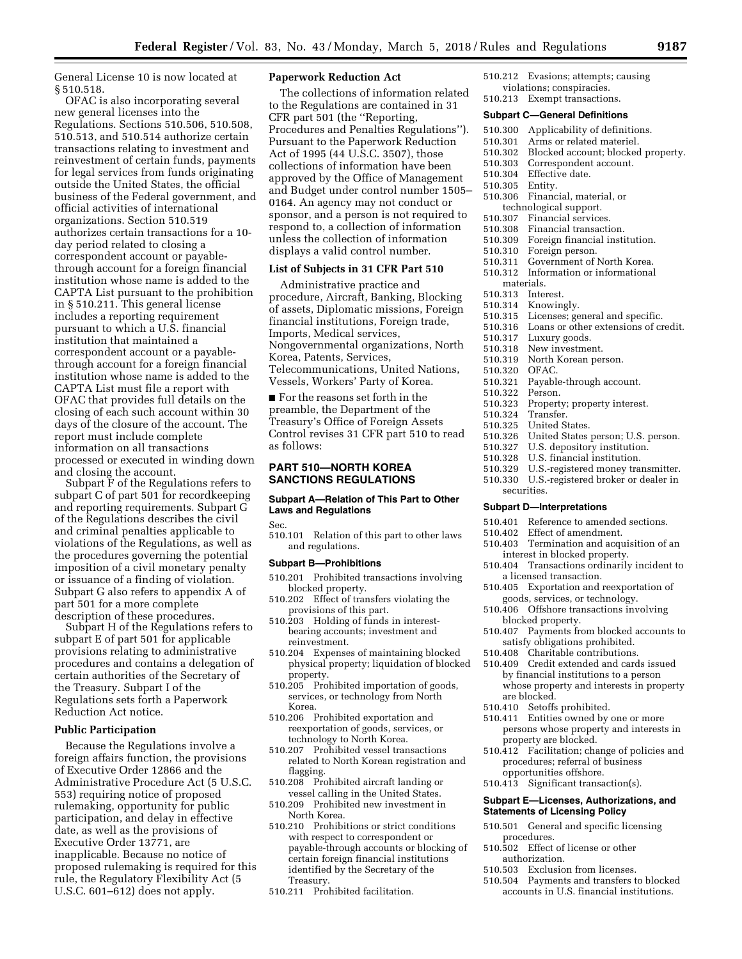General License 10 is now located at § 510.518.

OFAC is also incorporating several new general licenses into the Regulations. Sections 510.506, 510.508, 510.513, and 510.514 authorize certain transactions relating to investment and reinvestment of certain funds, payments for legal services from funds originating outside the United States, the official business of the Federal government, and official activities of international organizations. Section 510.519 authorizes certain transactions for a 10 day period related to closing a correspondent account or payablethrough account for a foreign financial institution whose name is added to the CAPTA List pursuant to the prohibition in § 510.211. This general license includes a reporting requirement pursuant to which a U.S. financial institution that maintained a correspondent account or a payablethrough account for a foreign financial institution whose name is added to the CAPTA List must file a report with OFAC that provides full details on the closing of each such account within 30 days of the closure of the account. The report must include complete information on all transactions processed or executed in winding down and closing the account.

Subpart F of the Regulations refers to subpart C of part 501 for recordkeeping and reporting requirements. Subpart G of the Regulations describes the civil and criminal penalties applicable to violations of the Regulations, as well as the procedures governing the potential imposition of a civil monetary penalty or issuance of a finding of violation. Subpart G also refers to appendix A of part 501 for a more complete description of these procedures.

Subpart H of the Regulations refers to subpart E of part 501 for applicable provisions relating to administrative procedures and contains a delegation of certain authorities of the Secretary of the Treasury. Subpart I of the Regulations sets forth a Paperwork Reduction Act notice.

### **Public Participation**

Because the Regulations involve a foreign affairs function, the provisions of Executive Order 12866 and the Administrative Procedure Act (5 U.S.C. 553) requiring notice of proposed rulemaking, opportunity for public participation, and delay in effective date, as well as the provisions of Executive Order 13771, are inapplicable. Because no notice of proposed rulemaking is required for this rule, the Regulatory Flexibility Act (5 U.S.C. 601–612) does not apply.

# **Paperwork Reduction Act**

The collections of information related to the Regulations are contained in 31 CFR part 501 (the ''Reporting, Procedures and Penalties Regulations''). Pursuant to the Paperwork Reduction Act of 1995 (44 U.S.C. 3507), those collections of information have been approved by the Office of Management and Budget under control number 1505– 0164. An agency may not conduct or sponsor, and a person is not required to respond to, a collection of information unless the collection of information displays a valid control number.

# **List of Subjects in 31 CFR Part 510**

Administrative practice and procedure, Aircraft, Banking, Blocking of assets, Diplomatic missions, Foreign financial institutions, Foreign trade, Imports, Medical services, Nongovernmental organizations, North Korea, Patents, Services, Telecommunications, United Nations, Vessels, Workers' Party of Korea.

■ For the reasons set forth in the preamble, the Department of the Treasury's Office of Foreign Assets Control revises 31 CFR part 510 to read as follows:

# **PART 510—NORTH KOREA SANCTIONS REGULATIONS**

# **Subpart A—Relation of This Part to Other Laws and Regulations**

Sec.

510.101 Relation of this part to other laws and regulations.

### **Subpart B—Prohibitions**

- 510.201 Prohibited transactions involving blocked property.
- 510.202 Effect of transfers violating the provisions of this part.
- 510.203 Holding of funds in interestbearing accounts; investment and reinvestment.
- 510.204 Expenses of maintaining blocked physical property; liquidation of blocked property.
- 510.205 Prohibited importation of goods, services, or technology from North Korea.
- 510.206 Prohibited exportation and reexportation of goods, services, or technology to North Korea.
- 510.207 Prohibited vessel transactions related to North Korean registration and flagging.
- 510.208 Prohibited aircraft landing or vessel calling in the United States.
- 510.209 Prohibited new investment in North Korea.
- 510.210 Prohibitions or strict conditions with respect to correspondent or payable-through accounts or blocking of certain foreign financial institutions identified by the Secretary of the Treasury.
- 510.211 Prohibited facilitation.
- 510.212 Evasions; attempts; causing violations; conspiracies.
- 510.213 Exempt transactions.

### **Subpart C—General Definitions**

- 
- 510.300 Applicability of definitions.<br>510.301 Arms or related materiel. Arms or related materiel.
- 510.302 Blocked account; blocked property.<br>510.303 Correspondent account.
- Correspondent account.
- 510.304 Effective date.
- $510.305$
- 510.306 Financial, material, or
- technological support.<br>510.307 Financial service
- Financial services.
- 510.308 Financial transaction.<br>510.309 Foreign financial insti Foreign financial institution.
	-
- 510.310 Foreign person.
- 510.311 Government of North Korea.
- 510.312 Information or informational materials.
	-
- 510.313 Interest.
- 510.314 Knowingly.
- 510.315 Licenses; general and specific.
- 510.316 Loans or other extensions of credit.<br>510.317 Luxury goods.
	- Luxury goods.
- 510.318 New investment.
- 510.319 North Korean person.
- 510.320
- 510.321 Payable-through account.
- 510.322 Person.
- 510.323 Property; property interest.
- 510.324 Transfer.
	- United States.
- 510.326 United States person; U.S. person.
- 510.327 U.S. depository institution.
- 510.328 U.S. financial institution.
- 510.329 U.S.-registered money transmitter.
- 510.330 U.S.-registered broker or dealer in securities.

#### **Subpart D—Interpretations**

- 510.401 Reference to amended sections.<br>510.402 Effect of amendment.
- 510.402 Effect of amendment.<br>510.403 Termination and acqu
- Termination and acquisition of an interest in blocked property.
- 510.404 Transactions ordinarily incident to a licensed transaction.
- 510.405 Exportation and reexportation of goods, services, or technology.
- 510.406 Offshore transactions involving blocked property.
- 510.407 Payments from blocked accounts to satisfy obligations prohibited.
- 510.408 Charitable contributions.
- 510.409 Credit extended and cards issued by financial institutions to a person whose property and interests in property are blocked.
- 510.410 Setoffs prohibited.
- 510.411 Entities owned by one or more persons whose property and interests in property are blocked.
- 510.412 Facilitation; change of policies and procedures; referral of business opportunities offshore.
- 510.413 Significant transaction(s).

#### **Subpart E—Licenses, Authorizations, and Statements of Licensing Policy**

- 510.501 General and specific licensing procedures.
- 510.502 Effect of license or other authorization.
- 510.503 Exclusion from licenses.
- 510.504 Payments and transfers to blocked accounts in U.S. financial institutions.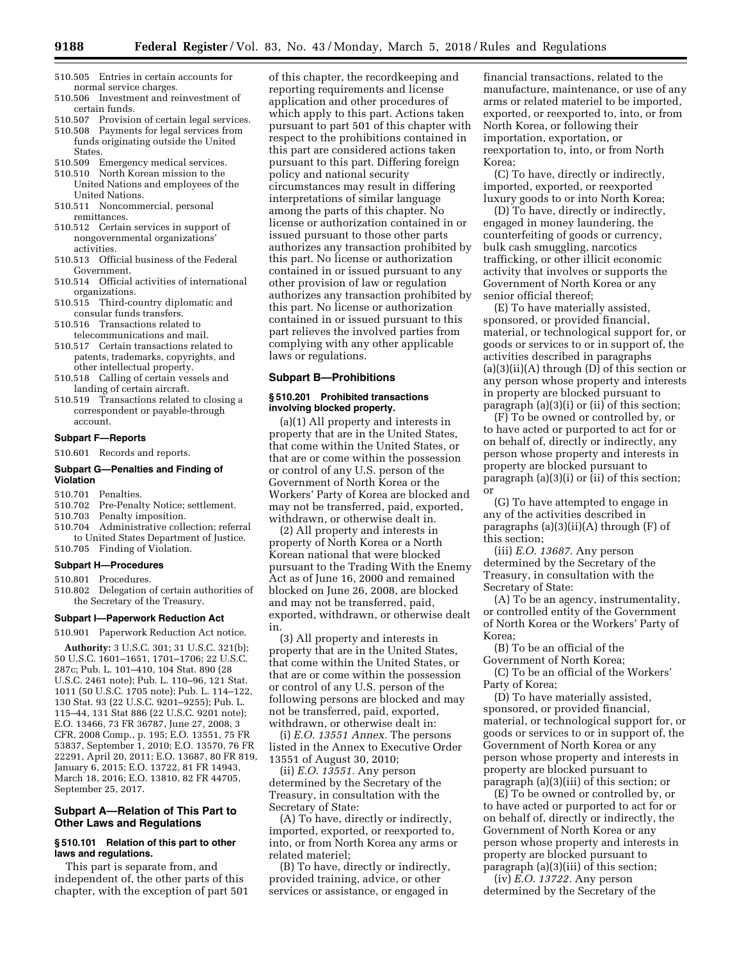- 510.505 Entries in certain accounts for normal service charges.
- 510.506 Investment and reinvestment of certain funds.
- 510.507 Provision of certain legal services.
- 510.508 Payments for legal services from funds originating outside the United **States**
- 510.509 Emergency medical services.
- 510.510 North Korean mission to the United Nations and employees of the United Nations.
- 510.511 Noncommercial, personal remittances.
- 510.512 Certain services in support of nongovernmental organizations' activities.
- 510.513 Official business of the Federal Government.
- 510.514 Official activities of international organizations.
- 510.515 Third-country diplomatic and consular funds transfers.
- 510.516 Transactions related to telecommunications and mail.
- 510.517 Certain transactions related to patents, trademarks, copyrights, and other intellectual property.
- 510.518 Calling of certain vessels and landing of certain aircraft.
- 510.519 Transactions related to closing a correspondent or payable-through account.

#### **Subpart F—Reports**

510.601 Records and reports.

### **Subpart G—Penalties and Finding of Violation**

# 510.701 Penalties.

- Pre-Penalty Notice; settlement.
- 510.703 Penalty imposition.
- 510.704 Administrative collection; referral to United States Department of Justice.
- 510.705 Finding of Violation.

### **Subpart H—Procedures**

- 510.801 Procedures.
- 510.802 Delegation of certain authorities of the Secretary of the Treasury.

# **Subpart I—Paperwork Reduction Act**

510.901 Paperwork Reduction Act notice.

**Authority:** 3 U.S.C. 301; 31 U.S.C. 321(b); 50 U.S.C. 1601–1651, 1701–1706; 22 U.S.C. 287c; Pub. L. 101–410, 104 Stat. 890 (28 U.S.C. 2461 note); Pub. L. 110–96, 121 Stat. 1011 (50 U.S.C. 1705 note); Pub. L. 114–122, 130 Stat. 93 (22 U.S.C. 9201–9255); Pub. L. 115–44, 131 Stat 886 (22 U.S.C. 9201 note); E.O. 13466, 73 FR 36787, June 27, 2008, 3 CFR, 2008 Comp., p. 195; E.O. 13551, 75 FR 53837, September 1, 2010; E.O. 13570, 76 FR 22291, April 20, 2011; E.O. 13687, 80 FR 819, January 6, 2015; E.O. 13722, 81 FR 14943, March 18, 2016; E.O. 13810, 82 FR 44705, September 25, 2017.

### **Subpart A—Relation of This Part to Other Laws and Regulations**

### **§ 510.101 Relation of this part to other laws and regulations.**

This part is separate from, and independent of, the other parts of this chapter, with the exception of part 501

of this chapter, the recordkeeping and reporting requirements and license application and other procedures of which apply to this part. Actions taken pursuant to part 501 of this chapter with respect to the prohibitions contained in this part are considered actions taken pursuant to this part. Differing foreign policy and national security circumstances may result in differing interpretations of similar language among the parts of this chapter. No license or authorization contained in or issued pursuant to those other parts authorizes any transaction prohibited by this part. No license or authorization contained in or issued pursuant to any other provision of law or regulation authorizes any transaction prohibited by this part. No license or authorization contained in or issued pursuant to this part relieves the involved parties from complying with any other applicable laws or regulations.

# **Subpart B—Prohibitions**

### **§ 510.201 Prohibited transactions involving blocked property.**

(a)(1) All property and interests in property that are in the United States, that come within the United States, or that are or come within the possession or control of any U.S. person of the Government of North Korea or the Workers' Party of Korea are blocked and may not be transferred, paid, exported, withdrawn, or otherwise dealt in.

(2) All property and interests in property of North Korea or a North Korean national that were blocked pursuant to the Trading With the Enemy Act as of June 16, 2000 and remained blocked on June 26, 2008, are blocked and may not be transferred, paid, exported, withdrawn, or otherwise dealt in.

(3) All property and interests in property that are in the United States, that come within the United States, or that are or come within the possession or control of any U.S. person of the following persons are blocked and may not be transferred, paid, exported, withdrawn, or otherwise dealt in:

(i) *E.O. 13551 Annex.* The persons listed in the Annex to Executive Order 13551 of August 30, 2010;

(ii) *E.O. 13551.* Any person determined by the Secretary of the Treasury, in consultation with the Secretary of State:

(A) To have, directly or indirectly, imported, exported, or reexported to, into, or from North Korea any arms or related materiel;

(B) To have, directly or indirectly, provided training, advice, or other services or assistance, or engaged in

financial transactions, related to the manufacture, maintenance, or use of any arms or related materiel to be imported, exported, or reexported to, into, or from North Korea, or following their importation, exportation, or reexportation to, into, or from North Korea;

(C) To have, directly or indirectly, imported, exported, or reexported luxury goods to or into North Korea;

(D) To have, directly or indirectly, engaged in money laundering, the counterfeiting of goods or currency, bulk cash smuggling, narcotics trafficking, or other illicit economic activity that involves or supports the Government of North Korea or any senior official thereof;

(E) To have materially assisted, sponsored, or provided financial, material, or technological support for, or goods or services to or in support of, the activities described in paragraphs (a)(3)(ii)(A) through (D) of this section or any person whose property and interests in property are blocked pursuant to paragraph (a)(3)(i) or (ii) of this section;

(F) To be owned or controlled by, or to have acted or purported to act for or on behalf of, directly or indirectly, any person whose property and interests in property are blocked pursuant to paragraph (a)(3)(i) or (ii) of this section; or

(G) To have attempted to engage in any of the activities described in paragraphs  $(a)(3)(ii)(A)$  through  $(F)$  of this section;

(iii) *E.O. 13687.* Any person determined by the Secretary of the Treasury, in consultation with the Secretary of State:

(A) To be an agency, instrumentality, or controlled entity of the Government of North Korea or the Workers' Party of Korea;

(B) To be an official of the Government of North Korea;

(C) To be an official of the Workers' Party of Korea;

(D) To have materially assisted, sponsored, or provided financial, material, or technological support for, or goods or services to or in support of, the Government of North Korea or any person whose property and interests in property are blocked pursuant to paragraph (a)(3)(iii) of this section; or

(E) To be owned or controlled by, or to have acted or purported to act for or on behalf of, directly or indirectly, the Government of North Korea or any person whose property and interests in property are blocked pursuant to paragraph (a)(3)(iii) of this section;

(iv) *E.O. 13722.* Any person determined by the Secretary of the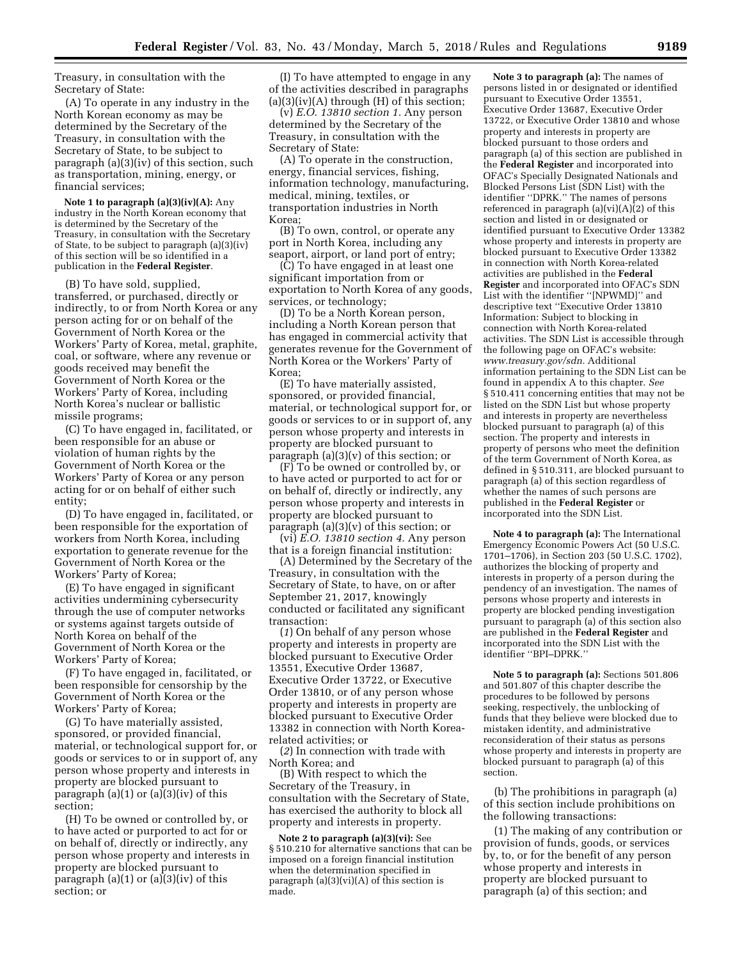Treasury, in consultation with the Secretary of State:

(A) To operate in any industry in the North Korean economy as may be determined by the Secretary of the Treasury, in consultation with the Secretary of State, to be subject to paragraph (a)(3)(iv) of this section, such as transportation, mining, energy, or financial services;

**Note 1 to paragraph (a)(3)(iv)(A):** Any industry in the North Korean economy that is determined by the Secretary of the Treasury, in consultation with the Secretary of State, to be subject to paragraph (a)(3)(iv) of this section will be so identified in a publication in the **Federal Register**.

(B) To have sold, supplied, transferred, or purchased, directly or indirectly, to or from North Korea or any person acting for or on behalf of the Government of North Korea or the Workers' Party of Korea, metal, graphite, coal, or software, where any revenue or goods received may benefit the Government of North Korea or the Workers' Party of Korea, including North Korea's nuclear or ballistic missile programs;

(C) To have engaged in, facilitated, or been responsible for an abuse or violation of human rights by the Government of North Korea or the Workers' Party of Korea or any person acting for or on behalf of either such entity;

(D) To have engaged in, facilitated, or been responsible for the exportation of workers from North Korea, including exportation to generate revenue for the Government of North Korea or the Workers' Party of Korea;

(E) To have engaged in significant activities undermining cybersecurity through the use of computer networks or systems against targets outside of North Korea on behalf of the Government of North Korea or the Workers' Party of Korea;

(F) To have engaged in, facilitated, or been responsible for censorship by the Government of North Korea or the Workers' Party of Korea;

(G) To have materially assisted, sponsored, or provided financial, material, or technological support for, or goods or services to or in support of, any person whose property and interests in property are blocked pursuant to paragraph  $(a)(1)$  or  $(a)(3)(iv)$  of this section;

(H) To be owned or controlled by, or to have acted or purported to act for or on behalf of, directly or indirectly, any person whose property and interests in property are blocked pursuant to paragraph  $(a)(1)$  or  $(a)(3)(iv)$  of this section; or

(I) To have attempted to engage in any of the activities described in paragraphs  $(a)(3)(iv)(A)$  through  $(H)$  of this section;

(v) *E.O. 13810 section 1.* Any person determined by the Secretary of the Treasury, in consultation with the Secretary of State:

(A) To operate in the construction, energy, financial services, fishing, information technology, manufacturing, medical, mining, textiles, or transportation industries in North Korea;

(B) To own, control, or operate any port in North Korea, including any seaport, airport, or land port of entry;

(C) To have engaged in at least one significant importation from or exportation to North Korea of any goods, services, or technology;

(D) To be a North Korean person, including a North Korean person that has engaged in commercial activity that generates revenue for the Government of North Korea or the Workers' Party of Korea;

(E) To have materially assisted, sponsored, or provided financial, material, or technological support for, or goods or services to or in support of, any person whose property and interests in property are blocked pursuant to paragraph (a)(3)(v) of this section; or

(F) To be owned or controlled by, or to have acted or purported to act for or on behalf of, directly or indirectly, any person whose property and interests in property are blocked pursuant to paragraph  $(a)(3)(v)$  of this section; or

(vi) *E.O. 13810 section 4.* Any person that is a foreign financial institution:

(A) Determined by the Secretary of the Treasury, in consultation with the Secretary of State, to have, on or after September 21, 2017, knowingly conducted or facilitated any significant transaction:

(*1*) On behalf of any person whose property and interests in property are blocked pursuant to Executive Order 13551, Executive Order 13687, Executive Order 13722, or Executive Order 13810, or of any person whose property and interests in property are blocked pursuant to Executive Order 13382 in connection with North Korearelated activities; or

(*2*) In connection with trade with North Korea; and

(B) With respect to which the Secretary of the Treasury, in consultation with the Secretary of State, has exercised the authority to block all property and interests in property.

**Note 2 to paragraph (a)(3)(vi):** See § 510.210 for alternative sanctions that can be imposed on a foreign financial institution when the determination specified in paragraph (a)(3)(vi)(A) of this section is made.

**Note 3 to paragraph (a):** The names of persons listed in or designated or identified pursuant to Executive Order 13551, Executive Order 13687, Executive Order 13722, or Executive Order 13810 and whose property and interests in property are blocked pursuant to those orders and paragraph (a) of this section are published in the **Federal Register** and incorporated into OFAC's Specially Designated Nationals and Blocked Persons List (SDN List) with the identifier ''DPRK.'' The names of persons referenced in paragraph  $(a)(vi)(A)\bar{(}2)$  of this section and listed in or designated or identified pursuant to Executive Order 13382 whose property and interests in property are blocked pursuant to Executive Order 13382 in connection with North Korea-related activities are published in the **Federal Register** and incorporated into OFAC's SDN List with the identifier ''[NPWMD]'' and descriptive text ''Executive Order 13810 Information: Subject to blocking in connection with North Korea-related activities. The SDN List is accessible through the following page on OFAC's website: *www.treasury.gov/sdn.* Additional information pertaining to the SDN List can be found in appendix A to this chapter. *See*  § 510.411 concerning entities that may not be listed on the SDN List but whose property and interests in property are nevertheless blocked pursuant to paragraph (a) of this section. The property and interests in property of persons who meet the definition of the term Government of North Korea, as defined in § 510.311, are blocked pursuant to paragraph (a) of this section regardless of whether the names of such persons are published in the **Federal Register** or incorporated into the SDN List.

**Note 4 to paragraph (a):** The International Emergency Economic Powers Act (50 U.S.C. 1701–1706), in Section 203 (50 U.S.C. 1702), authorizes the blocking of property and interests in property of a person during the pendency of an investigation. The names of persons whose property and interests in property are blocked pending investigation pursuant to paragraph (a) of this section also are published in the **Federal Register** and incorporated into the SDN List with the identifier ''BPI–DPRK.''

**Note 5 to paragraph (a):** Sections 501.806 and 501.807 of this chapter describe the procedures to be followed by persons seeking, respectively, the unblocking of funds that they believe were blocked due to mistaken identity, and administrative reconsideration of their status as persons whose property and interests in property are blocked pursuant to paragraph (a) of this section.

(b) The prohibitions in paragraph (a) of this section include prohibitions on the following transactions:

(1) The making of any contribution or provision of funds, goods, or services by, to, or for the benefit of any person whose property and interests in property are blocked pursuant to paragraph (a) of this section; and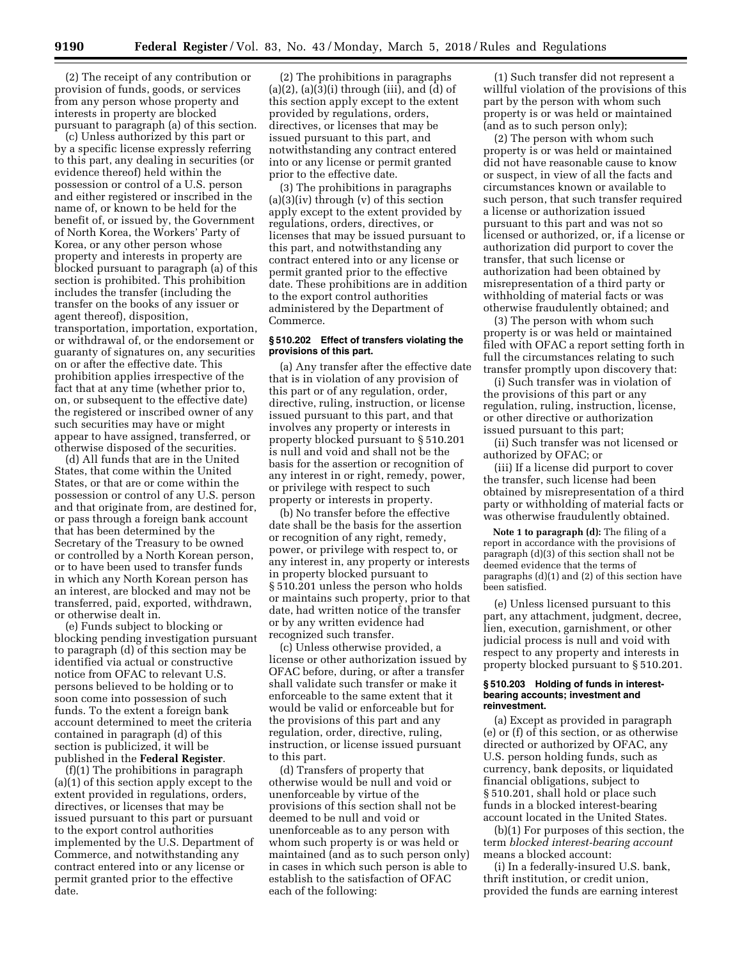(2) The receipt of any contribution or provision of funds, goods, or services from any person whose property and interests in property are blocked pursuant to paragraph (a) of this section.

(c) Unless authorized by this part or by a specific license expressly referring to this part, any dealing in securities (or evidence thereof) held within the possession or control of a U.S. person and either registered or inscribed in the name of, or known to be held for the benefit of, or issued by, the Government of North Korea, the Workers' Party of Korea, or any other person whose property and interests in property are blocked pursuant to paragraph (a) of this section is prohibited. This prohibition includes the transfer (including the transfer on the books of any issuer or agent thereof), disposition, transportation, importation, exportation, or withdrawal of, or the endorsement or guaranty of signatures on, any securities on or after the effective date. This prohibition applies irrespective of the fact that at any time (whether prior to, on, or subsequent to the effective date) the registered or inscribed owner of any such securities may have or might appear to have assigned, transferred, or otherwise disposed of the securities.

(d) All funds that are in the United States, that come within the United States, or that are or come within the possession or control of any U.S. person and that originate from, are destined for, or pass through a foreign bank account that has been determined by the Secretary of the Treasury to be owned or controlled by a North Korean person, or to have been used to transfer funds in which any North Korean person has an interest, are blocked and may not be transferred, paid, exported, withdrawn, or otherwise dealt in.

(e) Funds subject to blocking or blocking pending investigation pursuant to paragraph (d) of this section may be identified via actual or constructive notice from OFAC to relevant U.S. persons believed to be holding or to soon come into possession of such funds. To the extent a foreign bank account determined to meet the criteria contained in paragraph (d) of this section is publicized, it will be published in the **Federal Register**.

(f)(1) The prohibitions in paragraph (a)(1) of this section apply except to the extent provided in regulations, orders, directives, or licenses that may be issued pursuant to this part or pursuant to the export control authorities implemented by the U.S. Department of Commerce, and notwithstanding any contract entered into or any license or permit granted prior to the effective date.

(2) The prohibitions in paragraphs  $(a)(2)$ ,  $(a)(3)(i)$  through  $(iii)$ , and  $(d)$  of this section apply except to the extent provided by regulations, orders, directives, or licenses that may be issued pursuant to this part, and notwithstanding any contract entered into or any license or permit granted prior to the effective date.

(3) The prohibitions in paragraphs  $(a)(3)(iv)$  through  $(v)$  of this section apply except to the extent provided by regulations, orders, directives, or licenses that may be issued pursuant to this part, and notwithstanding any contract entered into or any license or permit granted prior to the effective date. These prohibitions are in addition to the export control authorities administered by the Department of Commerce.

### **§ 510.202 Effect of transfers violating the provisions of this part.**

(a) Any transfer after the effective date that is in violation of any provision of this part or of any regulation, order, directive, ruling, instruction, or license issued pursuant to this part, and that involves any property or interests in property blocked pursuant to § 510.201 is null and void and shall not be the basis for the assertion or recognition of any interest in or right, remedy, power, or privilege with respect to such property or interests in property.

(b) No transfer before the effective date shall be the basis for the assertion or recognition of any right, remedy, power, or privilege with respect to, or any interest in, any property or interests in property blocked pursuant to § 510.201 unless the person who holds or maintains such property, prior to that date, had written notice of the transfer or by any written evidence had recognized such transfer.

(c) Unless otherwise provided, a license or other authorization issued by OFAC before, during, or after a transfer shall validate such transfer or make it enforceable to the same extent that it would be valid or enforceable but for the provisions of this part and any regulation, order, directive, ruling, instruction, or license issued pursuant to this part.

(d) Transfers of property that otherwise would be null and void or unenforceable by virtue of the provisions of this section shall not be deemed to be null and void or unenforceable as to any person with whom such property is or was held or maintained (and as to such person only) in cases in which such person is able to establish to the satisfaction of OFAC each of the following:

(1) Such transfer did not represent a willful violation of the provisions of this part by the person with whom such property is or was held or maintained (and as to such person only);

(2) The person with whom such property is or was held or maintained did not have reasonable cause to know or suspect, in view of all the facts and circumstances known or available to such person, that such transfer required a license or authorization issued pursuant to this part and was not so licensed or authorized, or, if a license or authorization did purport to cover the transfer, that such license or authorization had been obtained by misrepresentation of a third party or withholding of material facts or was otherwise fraudulently obtained; and

(3) The person with whom such property is or was held or maintained filed with OFAC a report setting forth in full the circumstances relating to such transfer promptly upon discovery that:

(i) Such transfer was in violation of the provisions of this part or any regulation, ruling, instruction, license, or other directive or authorization issued pursuant to this part;

(ii) Such transfer was not licensed or authorized by OFAC; or

(iii) If a license did purport to cover the transfer, such license had been obtained by misrepresentation of a third party or withholding of material facts or was otherwise fraudulently obtained.

**Note 1 to paragraph (d):** The filing of a report in accordance with the provisions of paragraph (d)(3) of this section shall not be deemed evidence that the terms of paragraphs (d)(1) and (2) of this section have been satisfied.

(e) Unless licensed pursuant to this part, any attachment, judgment, decree, lien, execution, garnishment, or other judicial process is null and void with respect to any property and interests in property blocked pursuant to § 510.201.

### **§ 510.203 Holding of funds in interestbearing accounts; investment and reinvestment.**

(a) Except as provided in paragraph (e) or (f) of this section, or as otherwise directed or authorized by OFAC, any U.S. person holding funds, such as currency, bank deposits, or liquidated financial obligations, subject to § 510.201, shall hold or place such funds in a blocked interest-bearing account located in the United States.

(b)(1) For purposes of this section, the term *blocked interest-bearing account*  means a blocked account:

(i) In a federally-insured U.S. bank, thrift institution, or credit union, provided the funds are earning interest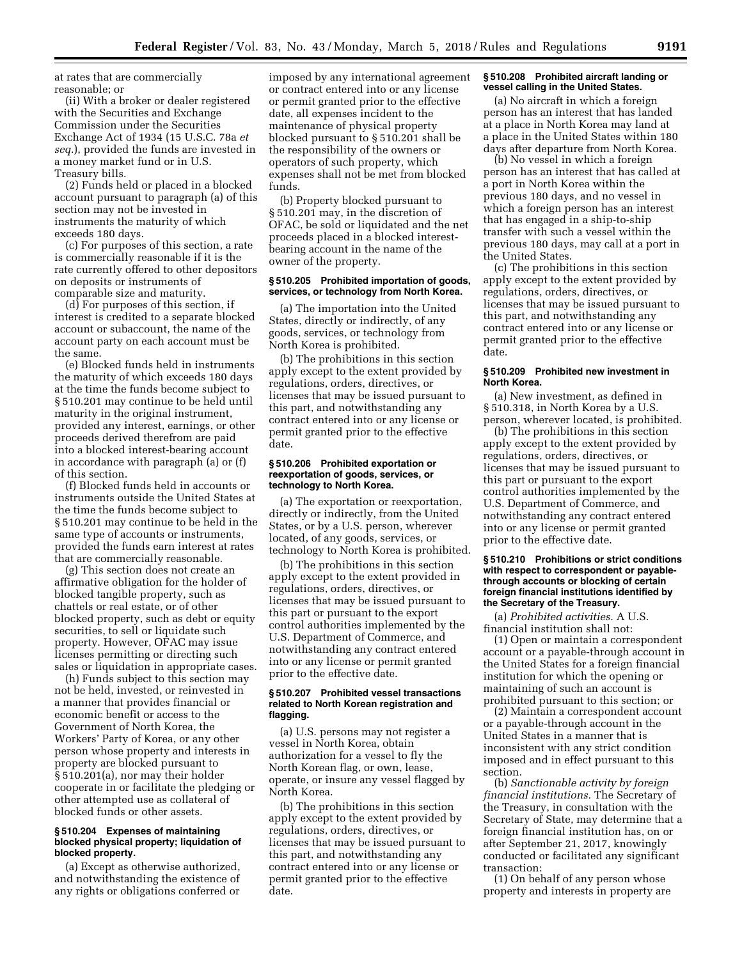at rates that are commercially reasonable; or

(ii) With a broker or dealer registered with the Securities and Exchange Commission under the Securities Exchange Act of 1934 (15 U.S.C. 78a *et seq.*), provided the funds are invested in a money market fund or in U.S. Treasury bills.

(2) Funds held or placed in a blocked account pursuant to paragraph (a) of this section may not be invested in instruments the maturity of which exceeds 180 days.

(c) For purposes of this section, a rate is commercially reasonable if it is the rate currently offered to other depositors on deposits or instruments of comparable size and maturity.

(d) For purposes of this section, if interest is credited to a separate blocked account or subaccount, the name of the account party on each account must be the same.

(e) Blocked funds held in instruments the maturity of which exceeds 180 days at the time the funds become subject to § 510.201 may continue to be held until maturity in the original instrument, provided any interest, earnings, or other proceeds derived therefrom are paid into a blocked interest-bearing account in accordance with paragraph (a) or (f) of this section.

(f) Blocked funds held in accounts or instruments outside the United States at the time the funds become subject to § 510.201 may continue to be held in the same type of accounts or instruments, provided the funds earn interest at rates that are commercially reasonable.

(g) This section does not create an affirmative obligation for the holder of blocked tangible property, such as chattels or real estate, or of other blocked property, such as debt or equity securities, to sell or liquidate such property. However, OFAC may issue licenses permitting or directing such sales or liquidation in appropriate cases.

(h) Funds subject to this section may not be held, invested, or reinvested in a manner that provides financial or economic benefit or access to the Government of North Korea, the Workers' Party of Korea, or any other person whose property and interests in property are blocked pursuant to § 510.201(a), nor may their holder cooperate in or facilitate the pledging or other attempted use as collateral of blocked funds or other assets.

### **§ 510.204 Expenses of maintaining blocked physical property; liquidation of blocked property.**

(a) Except as otherwise authorized, and notwithstanding the existence of any rights or obligations conferred or

imposed by any international agreement or contract entered into or any license or permit granted prior to the effective date, all expenses incident to the maintenance of physical property blocked pursuant to § 510.201 shall be the responsibility of the owners or operators of such property, which expenses shall not be met from blocked funds.

(b) Property blocked pursuant to § 510.201 may, in the discretion of OFAC, be sold or liquidated and the net proceeds placed in a blocked interestbearing account in the name of the owner of the property.

### **§ 510.205 Prohibited importation of goods, services, or technology from North Korea.**

(a) The importation into the United States, directly or indirectly, of any goods, services, or technology from North Korea is prohibited.

(b) The prohibitions in this section apply except to the extent provided by regulations, orders, directives, or licenses that may be issued pursuant to this part, and notwithstanding any contract entered into or any license or permit granted prior to the effective date.

### **§ 510.206 Prohibited exportation or reexportation of goods, services, or technology to North Korea.**

(a) The exportation or reexportation, directly or indirectly, from the United States, or by a U.S. person, wherever located, of any goods, services, or technology to North Korea is prohibited.

(b) The prohibitions in this section apply except to the extent provided in regulations, orders, directives, or licenses that may be issued pursuant to this part or pursuant to the export control authorities implemented by the U.S. Department of Commerce, and notwithstanding any contract entered into or any license or permit granted prior to the effective date.

### **§ 510.207 Prohibited vessel transactions related to North Korean registration and flagging.**

(a) U.S. persons may not register a vessel in North Korea, obtain authorization for a vessel to fly the North Korean flag, or own, lease, operate, or insure any vessel flagged by North Korea.

(b) The prohibitions in this section apply except to the extent provided by regulations, orders, directives, or licenses that may be issued pursuant to this part, and notwithstanding any contract entered into or any license or permit granted prior to the effective date.

### **§ 510.208 Prohibited aircraft landing or vessel calling in the United States.**

(a) No aircraft in which a foreign person has an interest that has landed at a place in North Korea may land at a place in the United States within 180 days after departure from North Korea.

(b) No vessel in which a foreign person has an interest that has called at a port in North Korea within the previous 180 days, and no vessel in which a foreign person has an interest that has engaged in a ship-to-ship transfer with such a vessel within the previous 180 days, may call at a port in the United States.

(c) The prohibitions in this section apply except to the extent provided by regulations, orders, directives, or licenses that may be issued pursuant to this part, and notwithstanding any contract entered into or any license or permit granted prior to the effective date.

# **§ 510.209 Prohibited new investment in North Korea.**

(a) New investment, as defined in § 510.318, in North Korea by a U.S. person, wherever located, is prohibited.

(b) The prohibitions in this section apply except to the extent provided by regulations, orders, directives, or licenses that may be issued pursuant to this part or pursuant to the export control authorities implemented by the U.S. Department of Commerce, and notwithstanding any contract entered into or any license or permit granted prior to the effective date.

### **§ 510.210 Prohibitions or strict conditions with respect to correspondent or payablethrough accounts or blocking of certain foreign financial institutions identified by the Secretary of the Treasury.**

(a) *Prohibited activities.* A U.S. financial institution shall not:

(1) Open or maintain a correspondent account or a payable-through account in the United States for a foreign financial institution for which the opening or maintaining of such an account is prohibited pursuant to this section; or

(2) Maintain a correspondent account or a payable-through account in the United States in a manner that is inconsistent with any strict condition imposed and in effect pursuant to this section.

(b) *Sanctionable activity by foreign financial institutions.* The Secretary of the Treasury, in consultation with the Secretary of State, may determine that a foreign financial institution has, on or after September 21, 2017, knowingly conducted or facilitated any significant transaction:

(1) On behalf of any person whose property and interests in property are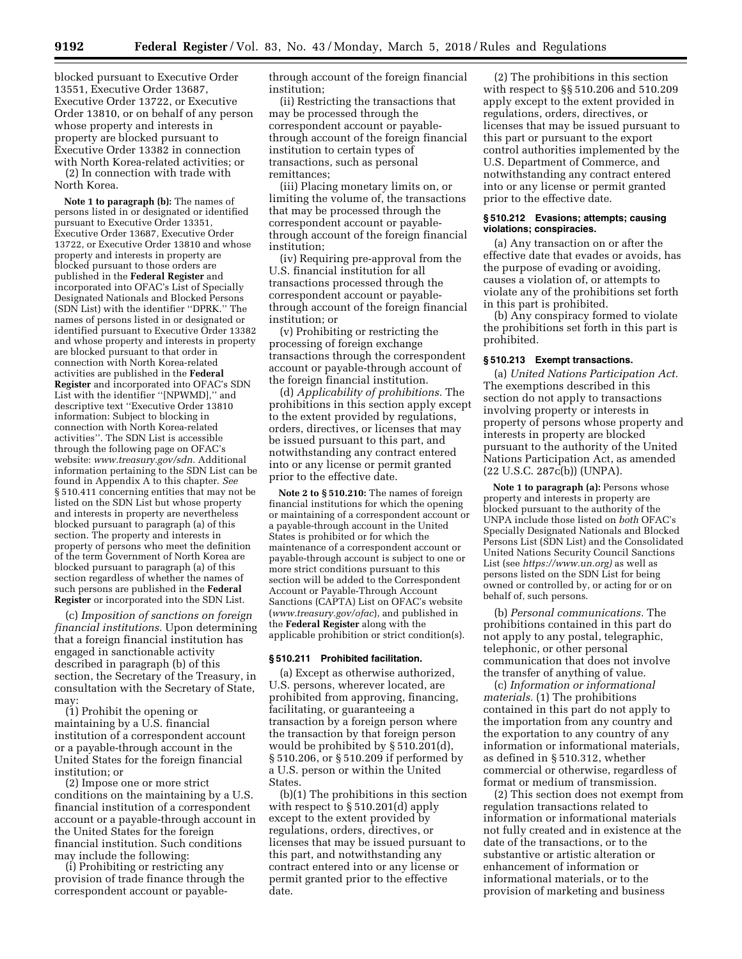blocked pursuant to Executive Order 13551, Executive Order 13687, Executive Order 13722, or Executive Order 13810, or on behalf of any person whose property and interests in property are blocked pursuant to Executive Order 13382 in connection with North Korea-related activities; or

(2) In connection with trade with North Korea.

**Note 1 to paragraph (b):** The names of persons listed in or designated or identified pursuant to Executive Order 13351, Executive Order 13687, Executive Order 13722, or Executive Order 13810 and whose property and interests in property are blocked pursuant to those orders are published in the **Federal Register** and incorporated into OFAC's List of Specially Designated Nationals and Blocked Persons (SDN List) with the identifier ''DPRK.'' The names of persons listed in or designated or identified pursuant to Executive Order 13382 and whose property and interests in property are blocked pursuant to that order in connection with North Korea-related activities are published in the **Federal Register** and incorporated into OFAC's SDN List with the identifier ''[NPWMD],'' and descriptive text ''Executive Order 13810 information: Subject to blocking in connection with North Korea-related activities''. The SDN List is accessible through the following page on OFAC's website: *www.treasury.gov/sdn.* Additional information pertaining to the SDN List can be found in Appendix A to this chapter. *See*  § 510.411 concerning entities that may not be listed on the SDN List but whose property and interests in property are nevertheless blocked pursuant to paragraph (a) of this section. The property and interests in property of persons who meet the definition of the term Government of North Korea are blocked pursuant to paragraph (a) of this section regardless of whether the names of such persons are published in the **Federal Register** or incorporated into the SDN List.

(c) *Imposition of sanctions on foreign financial institutions.* Upon determining that a foreign financial institution has engaged in sanctionable activity described in paragraph (b) of this section, the Secretary of the Treasury, in consultation with the Secretary of State, may:

(1) Prohibit the opening or maintaining by a U.S. financial institution of a correspondent account or a payable-through account in the United States for the foreign financial institution; or

(2) Impose one or more strict conditions on the maintaining by a U.S. financial institution of a correspondent account or a payable-through account in the United States for the foreign financial institution. Such conditions may include the following:

(i) Prohibiting or restricting any provision of trade finance through the correspondent account or payablethrough account of the foreign financial institution;

(ii) Restricting the transactions that may be processed through the correspondent account or payablethrough account of the foreign financial institution to certain types of transactions, such as personal remittances;

(iii) Placing monetary limits on, or limiting the volume of, the transactions that may be processed through the correspondent account or payablethrough account of the foreign financial institution;

(iv) Requiring pre-approval from the U.S. financial institution for all transactions processed through the correspondent account or payablethrough account of the foreign financial institution; or

(v) Prohibiting or restricting the processing of foreign exchange transactions through the correspondent account or payable-through account of the foreign financial institution.

(d) *Applicability of prohibitions.* The prohibitions in this section apply except to the extent provided by regulations, orders, directives, or licenses that may be issued pursuant to this part, and notwithstanding any contract entered into or any license or permit granted prior to the effective date.

**Note 2 to § 510.210:** The names of foreign financial institutions for which the opening or maintaining of a correspondent account or a payable-through account in the United States is prohibited or for which the maintenance of a correspondent account or payable-through account is subject to one or more strict conditions pursuant to this section will be added to the Correspondent Account or Payable-Through Account Sanctions (CAPTA) List on OFAC's website (*www.treasury.gov/ofac*), and published in the **Federal Register** along with the applicable prohibition or strict condition(s).

### **§ 510.211 Prohibited facilitation.**

(a) Except as otherwise authorized, U.S. persons, wherever located, are prohibited from approving, financing, facilitating, or guaranteeing a transaction by a foreign person where the transaction by that foreign person would be prohibited by § 510.201(d), § 510.206, or § 510.209 if performed by a U.S. person or within the United States.

(b)(1) The prohibitions in this section with respect to § 510.201(d) apply except to the extent provided by regulations, orders, directives, or licenses that may be issued pursuant to this part, and notwithstanding any contract entered into or any license or permit granted prior to the effective date.

(2) The prohibitions in this section with respect to §§ 510.206 and 510.209 apply except to the extent provided in regulations, orders, directives, or licenses that may be issued pursuant to this part or pursuant to the export control authorities implemented by the U.S. Department of Commerce, and notwithstanding any contract entered into or any license or permit granted prior to the effective date.

### **§ 510.212 Evasions; attempts; causing violations; conspiracies.**

(a) Any transaction on or after the effective date that evades or avoids, has the purpose of evading or avoiding, causes a violation of, or attempts to violate any of the prohibitions set forth in this part is prohibited.

(b) Any conspiracy formed to violate the prohibitions set forth in this part is prohibited.

#### **§ 510.213 Exempt transactions.**

(a) *United Nations Participation Act.*  The exemptions described in this section do not apply to transactions involving property or interests in property of persons whose property and interests in property are blocked pursuant to the authority of the United Nations Participation Act, as amended (22 U.S.C. 287c(b)) (UNPA).

**Note 1 to paragraph (a):** Persons whose property and interests in property are blocked pursuant to the authority of the UNPA include those listed on *both* OFAC's Specially Designated Nationals and Blocked Persons List (SDN List) and the Consolidated United Nations Security Council Sanctions List (see *https://www.un.org)* as well as persons listed on the SDN List for being owned or controlled by, or acting for or on behalf of, such persons.

(b) *Personal communications.* The prohibitions contained in this part do not apply to any postal, telegraphic, telephonic, or other personal communication that does not involve the transfer of anything of value.

(c) *Information or informational materials.* (1) The prohibitions contained in this part do not apply to the importation from any country and the exportation to any country of any information or informational materials, as defined in § 510.312, whether commercial or otherwise, regardless of format or medium of transmission.

(2) This section does not exempt from regulation transactions related to information or informational materials not fully created and in existence at the date of the transactions, or to the substantive or artistic alteration or enhancement of information or informational materials, or to the provision of marketing and business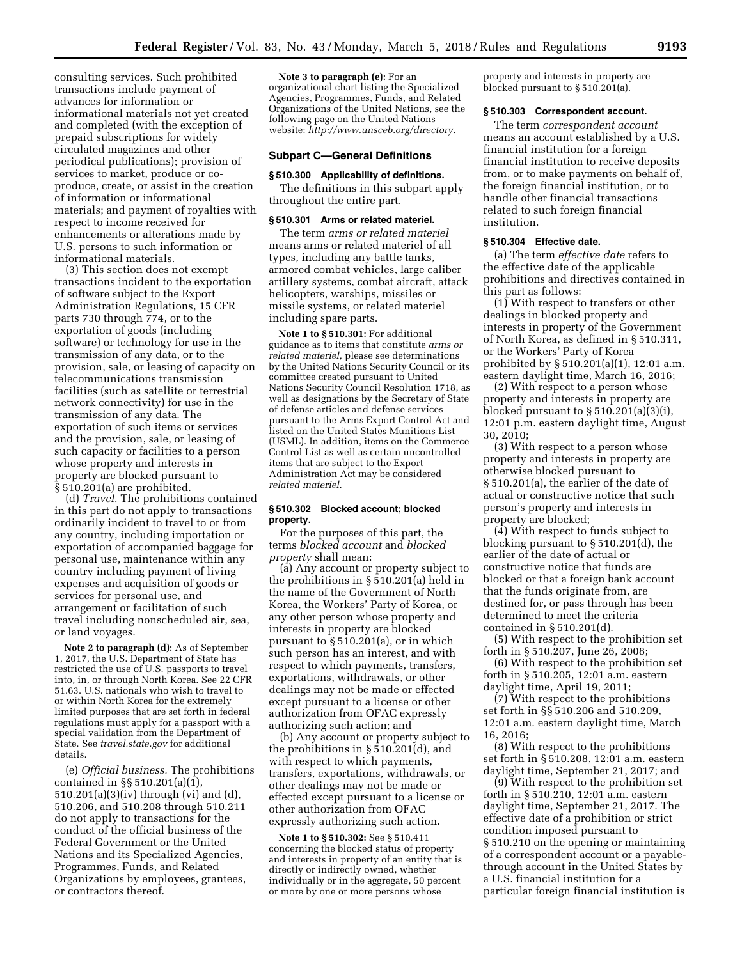consulting services. Such prohibited transactions include payment of advances for information or informational materials not yet created and completed (with the exception of prepaid subscriptions for widely circulated magazines and other periodical publications); provision of services to market, produce or coproduce, create, or assist in the creation of information or informational materials; and payment of royalties with respect to income received for enhancements or alterations made by U.S. persons to such information or informational materials.

(3) This section does not exempt transactions incident to the exportation of software subject to the Export Administration Regulations, 15 CFR parts 730 through 774, or to the exportation of goods (including software) or technology for use in the transmission of any data, or to the provision, sale, or leasing of capacity on telecommunications transmission facilities (such as satellite or terrestrial network connectivity) for use in the transmission of any data. The exportation of such items or services and the provision, sale, or leasing of such capacity or facilities to a person whose property and interests in property are blocked pursuant to § 510.201(a) are prohibited.

(d) *Travel.* The prohibitions contained in this part do not apply to transactions ordinarily incident to travel to or from any country, including importation or exportation of accompanied baggage for personal use, maintenance within any country including payment of living expenses and acquisition of goods or services for personal use, and arrangement or facilitation of such travel including nonscheduled air, sea, or land voyages.

**Note 2 to paragraph (d):** As of September 1, 2017, the U.S. Department of State has restricted the use of U.S. passports to travel into, in, or through North Korea. See 22 CFR 51.63. U.S. nationals who wish to travel to or within North Korea for the extremely limited purposes that are set forth in federal regulations must apply for a passport with a special validation from the Department of State. See *travel.state.gov* for additional details.

(e) *Official business.* The prohibitions contained in §§ 510.201(a)(1), 510.201(a)(3)(iv) through (vi) and (d), 510.206, and 510.208 through 510.211 do not apply to transactions for the conduct of the official business of the Federal Government or the United Nations and its Specialized Agencies, Programmes, Funds, and Related Organizations by employees, grantees, or contractors thereof.

**Note 3 to paragraph (e):** For an organizational chart listing the Specialized Agencies, Programmes, Funds, and Related Organizations of the United Nations, see the following page on the United Nations website: *http://www.unsceb.org/directory.* 

#### **Subpart C—General Definitions**

# **§ 510.300 Applicability of definitions.**

The definitions in this subpart apply throughout the entire part.

### **§ 510.301 Arms or related materiel.**

The term *arms or related materiel*  means arms or related materiel of all types, including any battle tanks, armored combat vehicles, large caliber artillery systems, combat aircraft, attack helicopters, warships, missiles or missile systems, or related materiel including spare parts.

**Note 1 to § 510.301:** For additional guidance as to items that constitute *arms or related materiel,* please see determinations by the United Nations Security Council or its committee created pursuant to United Nations Security Council Resolution 1718, as well as designations by the Secretary of State of defense articles and defense services pursuant to the Arms Export Control Act and listed on the United States Munitions List (USML). In addition, items on the Commerce Control List as well as certain uncontrolled items that are subject to the Export Administration Act may be considered *related materiel.* 

### **§ 510.302 Blocked account; blocked property.**

For the purposes of this part, the terms *blocked account* and *blocked property* shall mean:

(a) Any account or property subject to the prohibitions in § 510.201(a) held in the name of the Government of North Korea, the Workers' Party of Korea, or any other person whose property and interests in property are blocked pursuant to § 510.201(a), or in which such person has an interest, and with respect to which payments, transfers, exportations, withdrawals, or other dealings may not be made or effected except pursuant to a license or other authorization from OFAC expressly authorizing such action; and

(b) Any account or property subject to the prohibitions in § 510.201(d), and with respect to which payments, transfers, exportations, withdrawals, or other dealings may not be made or effected except pursuant to a license or other authorization from OFAC expressly authorizing such action.

**Note 1 to § 510.302:** See § 510.411 concerning the blocked status of property and interests in property of an entity that is directly or indirectly owned, whether individually or in the aggregate, 50 percent or more by one or more persons whose

property and interests in property are blocked pursuant to § 510.201(a).

### **§ 510.303 Correspondent account.**

The term *correspondent account*  means an account established by a U.S. financial institution for a foreign financial institution to receive deposits from, or to make payments on behalf of, the foreign financial institution, or to handle other financial transactions related to such foreign financial institution.

### **§ 510.304 Effective date.**

(a) The term *effective date* refers to the effective date of the applicable prohibitions and directives contained in this part as follows:

(1) With respect to transfers or other dealings in blocked property and interests in property of the Government of North Korea, as defined in § 510.311, or the Workers' Party of Korea prohibited by § 510.201(a)(1), 12:01 a.m. eastern daylight time, March 16, 2016;

(2) With respect to a person whose property and interests in property are blocked pursuant to  $\S 510.201(a)(3)(i)$ , 12:01 p.m. eastern daylight time, August 30, 2010;

(3) With respect to a person whose property and interests in property are otherwise blocked pursuant to § 510.201(a), the earlier of the date of actual or constructive notice that such person's property and interests in property are blocked;

(4) With respect to funds subject to blocking pursuant to § 510.201(d), the earlier of the date of actual or constructive notice that funds are blocked or that a foreign bank account that the funds originate from, are destined for, or pass through has been determined to meet the criteria contained in § 510.201(d).

(5) With respect to the prohibition set forth in § 510.207, June 26, 2008;

(6) With respect to the prohibition set forth in § 510.205, 12:01 a.m. eastern daylight time, April 19, 2011;

(7) With respect to the prohibitions set forth in §§ 510.206 and 510.209, 12:01 a.m. eastern daylight time, March 16, 2016;

(8) With respect to the prohibitions set forth in § 510.208, 12:01 a.m. eastern daylight time, September 21, 2017; and

(9) With respect to the prohibition set forth in § 510.210, 12:01 a.m. eastern daylight time, September 21, 2017. The effective date of a prohibition or strict condition imposed pursuant to § 510.210 on the opening or maintaining of a correspondent account or a payablethrough account in the United States by a U.S. financial institution for a particular foreign financial institution is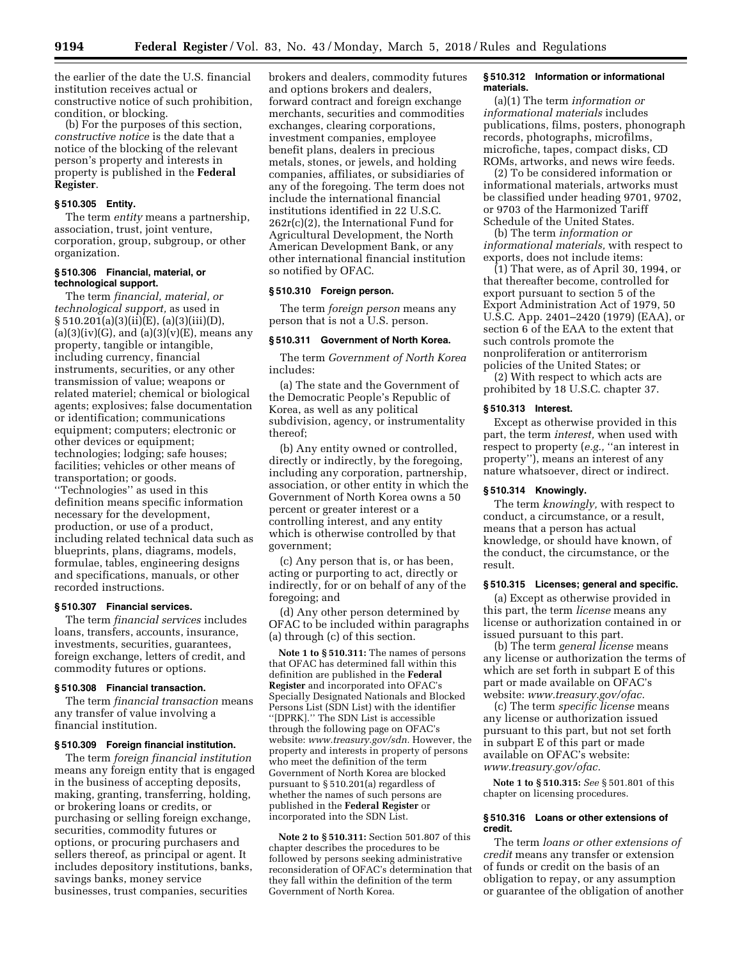the earlier of the date the U.S. financial institution receives actual or

condition, or blocking. (b) For the purposes of this section, *constructive notice* is the date that a notice of the blocking of the relevant person's property and interests in property is published in the **Federal Register**.

constructive notice of such prohibition,

#### **§ 510.305 Entity.**

The term *entity* means a partnership, association, trust, joint venture, corporation, group, subgroup, or other organization.

### **§ 510.306 Financial, material, or technological support.**

The term *financial, material, or technological support,* as used in § 510.201(a)(3)(ii)(E), (a)(3)(iii)(D),  $(a)(3)(iv)(G)$ , and  $(a)(3)(v)(E)$ , means any property, tangible or intangible, including currency, financial instruments, securities, or any other transmission of value; weapons or related materiel; chemical or biological agents; explosives; false documentation or identification; communications equipment; computers; electronic or other devices or equipment; technologies; lodging; safe houses; facilities; vehicles or other means of transportation; or goods.

''Technologies'' as used in this definition means specific information necessary for the development, production, or use of a product, including related technical data such as blueprints, plans, diagrams, models, formulae, tables, engineering designs and specifications, manuals, or other recorded instructions.

### **§ 510.307 Financial services.**

The term *financial services* includes loans, transfers, accounts, insurance, investments, securities, guarantees, foreign exchange, letters of credit, and commodity futures or options.

### **§ 510.308 Financial transaction.**

The term *financial transaction* means any transfer of value involving a financial institution.

### **§ 510.309 Foreign financial institution.**

The term *foreign financial institution*  means any foreign entity that is engaged in the business of accepting deposits, making, granting, transferring, holding, or brokering loans or credits, or purchasing or selling foreign exchange, securities, commodity futures or options, or procuring purchasers and sellers thereof, as principal or agent. It includes depository institutions, banks, savings banks, money service businesses, trust companies, securities

brokers and dealers, commodity futures and options brokers and dealers, forward contract and foreign exchange merchants, securities and commodities exchanges, clearing corporations, investment companies, employee benefit plans, dealers in precious metals, stones, or jewels, and holding companies, affiliates, or subsidiaries of any of the foregoing. The term does not include the international financial institutions identified in 22 U.S.C. 262r(c)(2), the International Fund for Agricultural Development, the North American Development Bank, or any other international financial institution so notified by OFAC.

### **§ 510.310 Foreign person.**

The term *foreign person* means any person that is not a U.S. person.

#### **§ 510.311 Government of North Korea.**

The term *Government of North Korea*  includes:

(a) The state and the Government of the Democratic People's Republic of Korea, as well as any political subdivision, agency, or instrumentality thereof;

(b) Any entity owned or controlled, directly or indirectly, by the foregoing, including any corporation, partnership, association, or other entity in which the Government of North Korea owns a 50 percent or greater interest or a controlling interest, and any entity which is otherwise controlled by that government;

(c) Any person that is, or has been, acting or purporting to act, directly or indirectly, for or on behalf of any of the foregoing; and

(d) Any other person determined by OFAC to be included within paragraphs (a) through (c) of this section.

**Note 1 to § 510.311:** The names of persons that OFAC has determined fall within this definition are published in the **Federal Register** and incorporated into OFAC's Specially Designated Nationals and Blocked Persons List (SDN List) with the identifier ''[DPRK].'' The SDN List is accessible through the following page on OFAC's website: *www.treasury.gov/sdn.* However, the property and interests in property of persons who meet the definition of the term Government of North Korea are blocked pursuant to § 510.201(a) regardless of whether the names of such persons are published in the **Federal Register** or incorporated into the SDN List.

**Note 2 to § 510.311:** Section 501.807 of this chapter describes the procedures to be followed by persons seeking administrative reconsideration of OFAC's determination that they fall within the definition of the term Government of North Korea.

### **§ 510.312 Information or informational materials.**

(a)(1) The term *information or informational materials* includes publications, films, posters, phonograph records, photographs, microfilms, microfiche, tapes, compact disks, CD ROMs, artworks, and news wire feeds.

(2) To be considered information or informational materials, artworks must be classified under heading 9701, 9702, or 9703 of the Harmonized Tariff Schedule of the United States.

(b) The term *information or informational materials,* with respect to exports, does not include items:

 $(1)$  That were, as of April 30, 1994, or that thereafter become, controlled for export pursuant to section 5 of the Export Administration Act of 1979, 50 U.S.C. App. 2401–2420 (1979) (EAA), or section 6 of the EAA to the extent that such controls promote the nonproliferation or antiterrorism policies of the United States; or

(2) With respect to which acts are prohibited by 18 U.S.C. chapter 37.

#### **§ 510.313 Interest.**

Except as otherwise provided in this part, the term *interest,* when used with respect to property (*e.g.,* ''an interest in property''), means an interest of any nature whatsoever, direct or indirect.

# **§ 510.314 Knowingly.**

The term *knowingly,* with respect to conduct, a circumstance, or a result, means that a person has actual knowledge, or should have known, of the conduct, the circumstance, or the result.

### **§ 510.315 Licenses; general and specific.**

(a) Except as otherwise provided in this part, the term *license* means any license or authorization contained in or issued pursuant to this part.

(b) The term *general license* means any license or authorization the terms of which are set forth in subpart E of this part or made available on OFAC's website: *www.treasury.gov/ofac.* 

(c) The term *specific license* means any license or authorization issued pursuant to this part, but not set forth in subpart E of this part or made available on OFAC's website: *www.treasury.gov/ofac.* 

**Note 1 to § 510.315:** *See* § 501.801 of this chapter on licensing procedures.

#### **§ 510.316 Loans or other extensions of credit.**

The term *loans or other extensions of credit* means any transfer or extension of funds or credit on the basis of an obligation to repay, or any assumption or guarantee of the obligation of another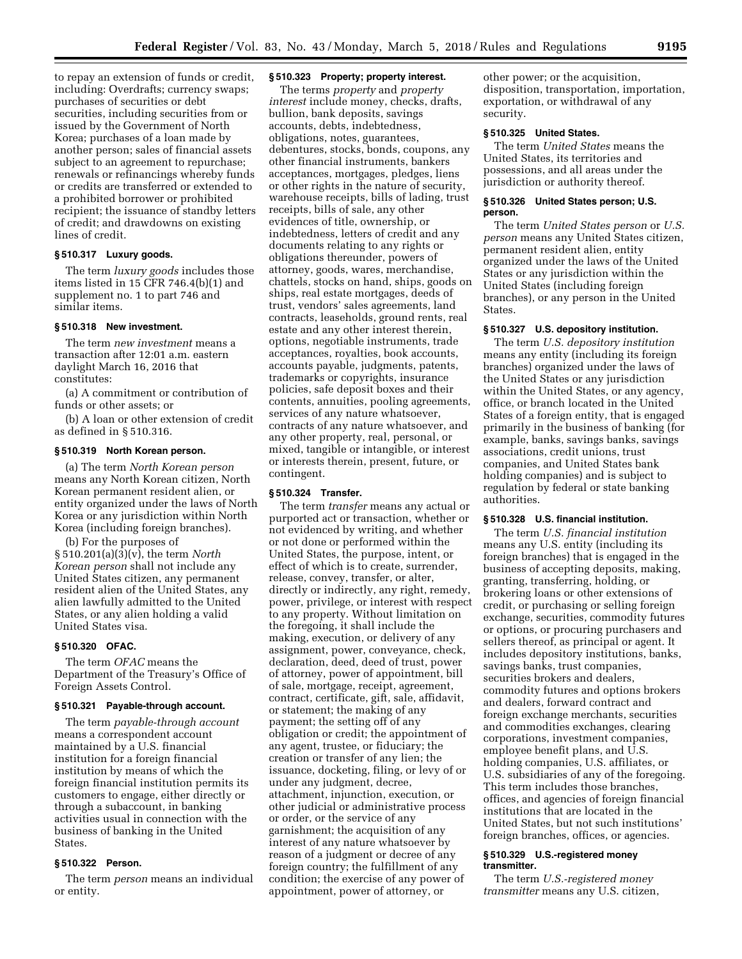to repay an extension of funds or credit, including: Overdrafts; currency swaps; purchases of securities or debt securities, including securities from or issued by the Government of North Korea; purchases of a loan made by another person; sales of financial assets subject to an agreement to repurchase; renewals or refinancings whereby funds or credits are transferred or extended to a prohibited borrower or prohibited recipient; the issuance of standby letters of credit; and drawdowns on existing lines of credit.

### **§ 510.317 Luxury goods.**

The term *luxury goods* includes those items listed in 15 CFR 746.4(b)(1) and supplement no. 1 to part 746 and similar items.

### **§ 510.318 New investment.**

The term *new investment* means a transaction after 12:01 a.m. eastern daylight March 16, 2016 that constitutes:

(a) A commitment or contribution of funds or other assets; or

(b) A loan or other extension of credit as defined in § 510.316.

### **§ 510.319 North Korean person.**

(a) The term *North Korean person*  means any North Korean citizen, North Korean permanent resident alien, or entity organized under the laws of North Korea or any jurisdiction within North Korea (including foreign branches).

(b) For the purposes of § 510.201(a)(3)(v), the term *North Korean person* shall not include any United States citizen, any permanent resident alien of the United States, any alien lawfully admitted to the United States, or any alien holding a valid United States visa.

### **§ 510.320 OFAC.**

The term *OFAC* means the Department of the Treasury's Office of Foreign Assets Control.

# **§ 510.321 Payable-through account.**

The term *payable-through account*  means a correspondent account maintained by a U.S. financial institution for a foreign financial institution by means of which the foreign financial institution permits its customers to engage, either directly or through a subaccount, in banking activities usual in connection with the business of banking in the United States.

# **§ 510.322 Person.**

The term *person* means an individual or entity.

### **§ 510.323 Property; property interest.**

The terms *property* and *property interest* include money, checks, drafts, bullion, bank deposits, savings accounts, debts, indebtedness, obligations, notes, guarantees, debentures, stocks, bonds, coupons, any other financial instruments, bankers acceptances, mortgages, pledges, liens or other rights in the nature of security, warehouse receipts, bills of lading, trust receipts, bills of sale, any other evidences of title, ownership, or indebtedness, letters of credit and any documents relating to any rights or obligations thereunder, powers of attorney, goods, wares, merchandise, chattels, stocks on hand, ships, goods on ships, real estate mortgages, deeds of trust, vendors' sales agreements, land contracts, leaseholds, ground rents, real estate and any other interest therein, options, negotiable instruments, trade acceptances, royalties, book accounts, accounts payable, judgments, patents, trademarks or copyrights, insurance policies, safe deposit boxes and their contents, annuities, pooling agreements, services of any nature whatsoever, contracts of any nature whatsoever, and any other property, real, personal, or mixed, tangible or intangible, or interest or interests therein, present, future, or contingent.

### **§ 510.324 Transfer.**

The term *transfer* means any actual or purported act or transaction, whether or not evidenced by writing, and whether or not done or performed within the United States, the purpose, intent, or effect of which is to create, surrender, release, convey, transfer, or alter, directly or indirectly, any right, remedy, power, privilege, or interest with respect to any property. Without limitation on the foregoing, it shall include the making, execution, or delivery of any assignment, power, conveyance, check, declaration, deed, deed of trust, power of attorney, power of appointment, bill of sale, mortgage, receipt, agreement, contract, certificate, gift, sale, affidavit, or statement; the making of any payment; the setting off of any obligation or credit; the appointment of any agent, trustee, or fiduciary; the creation or transfer of any lien; the issuance, docketing, filing, or levy of or under any judgment, decree, attachment, injunction, execution, or other judicial or administrative process or order, or the service of any garnishment; the acquisition of any interest of any nature whatsoever by reason of a judgment or decree of any foreign country; the fulfillment of any condition; the exercise of any power of appointment, power of attorney, or

other power; or the acquisition, disposition, transportation, importation, exportation, or withdrawal of any security.

# **§ 510.325 United States.**

The term *United States* means the United States, its territories and possessions, and all areas under the jurisdiction or authority thereof.

#### **§ 510.326 United States person; U.S. person.**

The term *United States person* or *U.S. person* means any United States citizen, permanent resident alien, entity organized under the laws of the United States or any jurisdiction within the United States (including foreign branches), or any person in the United States.

### **§ 510.327 U.S. depository institution.**

The term *U.S. depository institution*  means any entity (including its foreign branches) organized under the laws of the United States or any jurisdiction within the United States, or any agency, office, or branch located in the United States of a foreign entity, that is engaged primarily in the business of banking (for example, banks, savings banks, savings associations, credit unions, trust companies, and United States bank holding companies) and is subject to regulation by federal or state banking authorities.

# **§ 510.328 U.S. financial institution.**

The term *U.S. financial institution*  means any U.S. entity (including its foreign branches) that is engaged in the business of accepting deposits, making, granting, transferring, holding, or brokering loans or other extensions of credit, or purchasing or selling foreign exchange, securities, commodity futures or options, or procuring purchasers and sellers thereof, as principal or agent. It includes depository institutions, banks, savings banks, trust companies, securities brokers and dealers, commodity futures and options brokers and dealers, forward contract and foreign exchange merchants, securities and commodities exchanges, clearing corporations, investment companies, employee benefit plans, and U.S. holding companies, U.S. affiliates, or U.S. subsidiaries of any of the foregoing. This term includes those branches, offices, and agencies of foreign financial institutions that are located in the United States, but not such institutions' foreign branches, offices, or agencies.

### **§ 510.329 U.S.-registered money transmitter.**

The term *U.S.-registered money transmitter* means any U.S. citizen,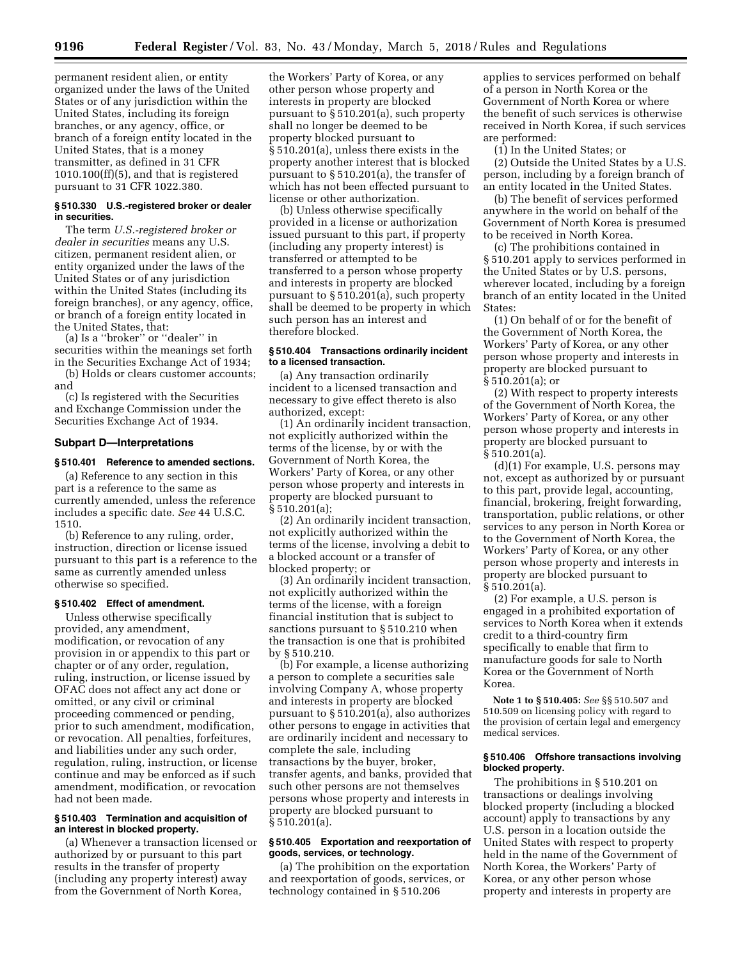permanent resident alien, or entity organized under the laws of the United States or of any jurisdiction within the United States, including its foreign branches, or any agency, office, or branch of a foreign entity located in the United States, that is a money transmitter, as defined in 31 CFR 1010.100(ff)(5), and that is registered pursuant to 31 CFR 1022.380.

#### **§ 510.330 U.S.-registered broker or dealer in securities.**

The term *U.S.-registered broker or dealer in securities* means any U.S. citizen, permanent resident alien, or entity organized under the laws of the United States or of any jurisdiction within the United States (including its foreign branches), or any agency, office, or branch of a foreign entity located in the United States, that:

(a) Is a ''broker'' or ''dealer'' in securities within the meanings set forth in the Securities Exchange Act of 1934; (b) Holds or clears customer accounts;

and

(c) Is registered with the Securities and Exchange Commission under the Securities Exchange Act of 1934.

### **Subpart D—Interpretations**

### **§ 510.401 Reference to amended sections.**

(a) Reference to any section in this part is a reference to the same as currently amended, unless the reference includes a specific date. *See* 44 U.S.C. 1510.

(b) Reference to any ruling, order, instruction, direction or license issued pursuant to this part is a reference to the same as currently amended unless otherwise so specified.

# **§ 510.402 Effect of amendment.**

Unless otherwise specifically provided, any amendment, modification, or revocation of any provision in or appendix to this part or chapter or of any order, regulation, ruling, instruction, or license issued by OFAC does not affect any act done or omitted, or any civil or criminal proceeding commenced or pending, prior to such amendment, modification, or revocation. All penalties, forfeitures, and liabilities under any such order, regulation, ruling, instruction, or license continue and may be enforced as if such amendment, modification, or revocation had not been made.

### **§ 510.403 Termination and acquisition of an interest in blocked property.**

(a) Whenever a transaction licensed or authorized by or pursuant to this part results in the transfer of property (including any property interest) away from the Government of North Korea,

the Workers' Party of Korea, or any other person whose property and interests in property are blocked pursuant to § 510.201(a), such property shall no longer be deemed to be property blocked pursuant to § 510.201(a), unless there exists in the property another interest that is blocked pursuant to § 510.201(a), the transfer of which has not been effected pursuant to license or other authorization.

(b) Unless otherwise specifically provided in a license or authorization issued pursuant to this part, if property (including any property interest) is transferred or attempted to be transferred to a person whose property and interests in property are blocked pursuant to § 510.201(a), such property shall be deemed to be property in which such person has an interest and therefore blocked.

# **§ 510.404 Transactions ordinarily incident to a licensed transaction.**

(a) Any transaction ordinarily incident to a licensed transaction and necessary to give effect thereto is also authorized, except:

(1) An ordinarily incident transaction, not explicitly authorized within the terms of the license, by or with the Government of North Korea, the Workers' Party of Korea, or any other person whose property and interests in property are blocked pursuant to § 510.201(a);

(2) An ordinarily incident transaction, not explicitly authorized within the terms of the license, involving a debit to a blocked account or a transfer of blocked property; or

(3) An ordinarily incident transaction, not explicitly authorized within the terms of the license, with a foreign financial institution that is subject to sanctions pursuant to § 510.210 when the transaction is one that is prohibited by § 510.210.

(b) For example, a license authorizing a person to complete a securities sale involving Company A, whose property and interests in property are blocked pursuant to § 510.201(a), also authorizes other persons to engage in activities that are ordinarily incident and necessary to complete the sale, including transactions by the buyer, broker, transfer agents, and banks, provided that such other persons are not themselves persons whose property and interests in property are blocked pursuant to § 510.201(a).

### **§ 510.405 Exportation and reexportation of goods, services, or technology.**

(a) The prohibition on the exportation and reexportation of goods, services, or technology contained in § 510.206

applies to services performed on behalf of a person in North Korea or the Government of North Korea or where the benefit of such services is otherwise received in North Korea, if such services are performed:

(1) In the United States; or

(2) Outside the United States by a U.S. person, including by a foreign branch of an entity located in the United States.

(b) The benefit of services performed anywhere in the world on behalf of the Government of North Korea is presumed to be received in North Korea.

(c) The prohibitions contained in § 510.201 apply to services performed in the United States or by U.S. persons, wherever located, including by a foreign branch of an entity located in the United States:

(1) On behalf of or for the benefit of the Government of North Korea, the Workers' Party of Korea, or any other person whose property and interests in property are blocked pursuant to § 510.201(a); or

(2) With respect to property interests of the Government of North Korea, the Workers' Party of Korea, or any other person whose property and interests in property are blocked pursuant to § 510.201(a).

(d)(1) For example, U.S. persons may not, except as authorized by or pursuant to this part, provide legal, accounting, financial, brokering, freight forwarding, transportation, public relations, or other services to any person in North Korea or to the Government of North Korea, the Workers' Party of Korea, or any other person whose property and interests in property are blocked pursuant to § 510.201(a).

(2) For example, a U.S. person is engaged in a prohibited exportation of services to North Korea when it extends credit to a third-country firm specifically to enable that firm to manufacture goods for sale to North Korea or the Government of North Korea.

**Note 1 to § 510.405:** *See* §§ 510.507 and 510.509 on licensing policy with regard to the provision of certain legal and emergency medical services.

### **§ 510.406 Offshore transactions involving blocked property.**

The prohibitions in § 510.201 on transactions or dealings involving blocked property (including a blocked account) apply to transactions by any U.S. person in a location outside the United States with respect to property held in the name of the Government of North Korea, the Workers' Party of Korea, or any other person whose property and interests in property are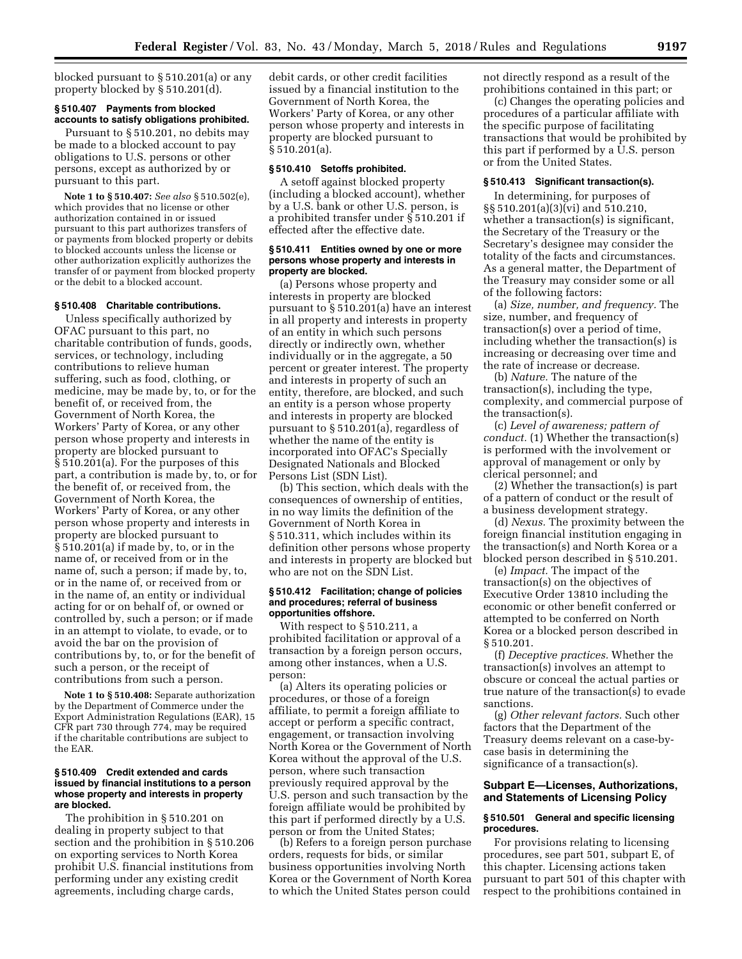blocked pursuant to § 510.201(a) or any property blocked by § 510.201(d).

### **§ 510.407 Payments from blocked accounts to satisfy obligations prohibited.**

Pursuant to § 510.201, no debits may be made to a blocked account to pay obligations to U.S. persons or other persons, except as authorized by or pursuant to this part.

**Note 1 to § 510.407:** *See also* § 510.502(e), which provides that no license or other authorization contained in or issued pursuant to this part authorizes transfers of or payments from blocked property or debits to blocked accounts unless the license or other authorization explicitly authorizes the transfer of or payment from blocked property or the debit to a blocked account.

# **§ 510.408 Charitable contributions.**

Unless specifically authorized by OFAC pursuant to this part, no charitable contribution of funds, goods, services, or technology, including contributions to relieve human suffering, such as food, clothing, or medicine, may be made by, to, or for the benefit of, or received from, the Government of North Korea, the Workers' Party of Korea, or any other person whose property and interests in property are blocked pursuant to § 510.201(a). For the purposes of this part, a contribution is made by, to, or for the benefit of, or received from, the Government of North Korea, the Workers' Party of Korea, or any other person whose property and interests in property are blocked pursuant to § 510.201(a) if made by, to, or in the name of, or received from or in the name of, such a person; if made by, to, or in the name of, or received from or in the name of, an entity or individual acting for or on behalf of, or owned or controlled by, such a person; or if made in an attempt to violate, to evade, or to avoid the bar on the provision of contributions by, to, or for the benefit of such a person, or the receipt of contributions from such a person.

**Note 1 to § 510.408:** Separate authorization by the Department of Commerce under the Export Administration Regulations (EAR), 15 CFR part 730 through 774, may be required if the charitable contributions are subject to the EAR.

### **§ 510.409 Credit extended and cards issued by financial institutions to a person whose property and interests in property are blocked.**

The prohibition in § 510.201 on dealing in property subject to that section and the prohibition in § 510.206 on exporting services to North Korea prohibit U.S. financial institutions from performing under any existing credit agreements, including charge cards,

debit cards, or other credit facilities issued by a financial institution to the Government of North Korea, the Workers' Party of Korea, or any other person whose property and interests in property are blocked pursuant to § 510.201(a).

#### **§ 510.410 Setoffs prohibited.**

A setoff against blocked property (including a blocked account), whether by a U.S. bank or other U.S. person, is a prohibited transfer under § 510.201 if effected after the effective date.

### **§ 510.411 Entities owned by one or more persons whose property and interests in property are blocked.**

(a) Persons whose property and interests in property are blocked pursuant to § 510.201(a) have an interest in all property and interests in property of an entity in which such persons directly or indirectly own, whether individually or in the aggregate, a 50 percent or greater interest. The property and interests in property of such an entity, therefore, are blocked, and such an entity is a person whose property and interests in property are blocked pursuant to § 510.201(a), regardless of whether the name of the entity is incorporated into OFAC's Specially Designated Nationals and Blocked Persons List (SDN List).

(b) This section, which deals with the consequences of ownership of entities, in no way limits the definition of the Government of North Korea in § 510.311, which includes within its definition other persons whose property and interests in property are blocked but who are not on the SDN List.

### **§ 510.412 Facilitation; change of policies and procedures; referral of business opportunities offshore.**

With respect to § 510.211, a prohibited facilitation or approval of a transaction by a foreign person occurs, among other instances, when a U.S. person:

(a) Alters its operating policies or procedures, or those of a foreign affiliate, to permit a foreign affiliate to accept or perform a specific contract, engagement, or transaction involving North Korea or the Government of North Korea without the approval of the U.S. person, where such transaction previously required approval by the U.S. person and such transaction by the foreign affiliate would be prohibited by this part if performed directly by a U.S. person or from the United States;

(b) Refers to a foreign person purchase orders, requests for bids, or similar business opportunities involving North Korea or the Government of North Korea to which the United States person could not directly respond as a result of the prohibitions contained in this part; or

(c) Changes the operating policies and procedures of a particular affiliate with the specific purpose of facilitating transactions that would be prohibited by this part if performed by a U.S. person or from the United States.

### **§ 510.413 Significant transaction(s).**

In determining, for purposes of §§ 510.201(a)(3)(vi) and 510.210, whether a transaction(s) is significant, the Secretary of the Treasury or the Secretary's designee may consider the totality of the facts and circumstances. As a general matter, the Department of the Treasury may consider some or all of the following factors:

(a) *Size, number, and frequency.* The size, number, and frequency of transaction(s) over a period of time, including whether the transaction(s) is increasing or decreasing over time and the rate of increase or decrease.

(b) *Nature.* The nature of the transaction(s), including the type, complexity, and commercial purpose of the transaction(s).

(c) *Level of awareness; pattern of conduct.* (1) Whether the transaction(s) is performed with the involvement or approval of management or only by clerical personnel; and

(2) Whether the transaction(s) is part of a pattern of conduct or the result of a business development strategy.

(d) *Nexus.* The proximity between the foreign financial institution engaging in the transaction(s) and North Korea or a blocked person described in § 510.201.

(e) *Impact.* The impact of the transaction(s) on the objectives of Executive Order 13810 including the economic or other benefit conferred or attempted to be conferred on North Korea or a blocked person described in § 510.201.

(f) *Deceptive practices.* Whether the transaction(s) involves an attempt to obscure or conceal the actual parties or true nature of the transaction(s) to evade sanctions.

(g) *Other relevant factors.* Such other factors that the Department of the Treasury deems relevant on a case-bycase basis in determining the significance of a transaction(s).

# **Subpart E—Licenses, Authorizations, and Statements of Licensing Policy**

### **§ 510.501 General and specific licensing procedures.**

For provisions relating to licensing procedures, see part 501, subpart E, of this chapter. Licensing actions taken pursuant to part 501 of this chapter with respect to the prohibitions contained in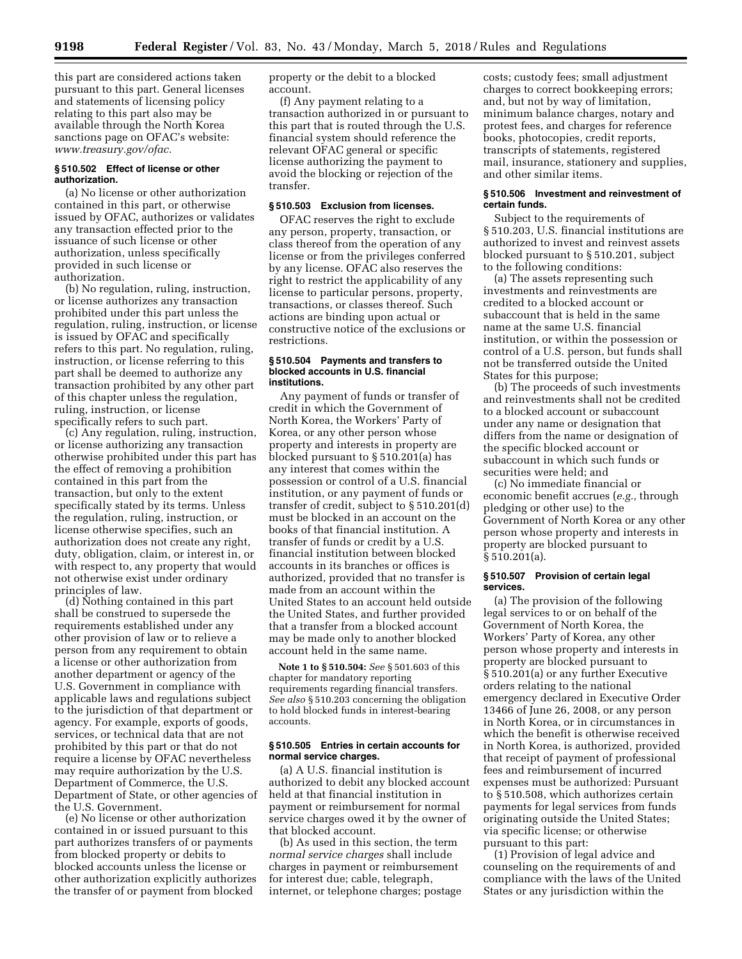this part are considered actions taken pursuant to this part. General licenses and statements of licensing policy relating to this part also may be available through the North Korea sanctions page on OFAC's website: *www.treasury.gov/ofac.* 

### **§ 510.502 Effect of license or other authorization.**

(a) No license or other authorization contained in this part, or otherwise issued by OFAC, authorizes or validates any transaction effected prior to the issuance of such license or other authorization, unless specifically provided in such license or authorization.

(b) No regulation, ruling, instruction, or license authorizes any transaction prohibited under this part unless the regulation, ruling, instruction, or license is issued by OFAC and specifically refers to this part. No regulation, ruling, instruction, or license referring to this part shall be deemed to authorize any transaction prohibited by any other part of this chapter unless the regulation, ruling, instruction, or license specifically refers to such part.

(c) Any regulation, ruling, instruction, or license authorizing any transaction otherwise prohibited under this part has the effect of removing a prohibition contained in this part from the transaction, but only to the extent specifically stated by its terms. Unless the regulation, ruling, instruction, or license otherwise specifies, such an authorization does not create any right, duty, obligation, claim, or interest in, or with respect to, any property that would not otherwise exist under ordinary principles of law.

(d) Nothing contained in this part shall be construed to supersede the requirements established under any other provision of law or to relieve a person from any requirement to obtain a license or other authorization from another department or agency of the U.S. Government in compliance with applicable laws and regulations subject to the jurisdiction of that department or agency. For example, exports of goods, services, or technical data that are not prohibited by this part or that do not require a license by OFAC nevertheless may require authorization by the U.S. Department of Commerce, the U.S. Department of State, or other agencies of the U.S. Government.

(e) No license or other authorization contained in or issued pursuant to this part authorizes transfers of or payments from blocked property or debits to blocked accounts unless the license or other authorization explicitly authorizes the transfer of or payment from blocked

property or the debit to a blocked account.

(f) Any payment relating to a transaction authorized in or pursuant to this part that is routed through the U.S. financial system should reference the relevant OFAC general or specific license authorizing the payment to avoid the blocking or rejection of the transfer.

# **§ 510.503 Exclusion from licenses.**

OFAC reserves the right to exclude any person, property, transaction, or class thereof from the operation of any license or from the privileges conferred by any license. OFAC also reserves the right to restrict the applicability of any license to particular persons, property, transactions, or classes thereof. Such actions are binding upon actual or constructive notice of the exclusions or restrictions.

#### **§ 510.504 Payments and transfers to blocked accounts in U.S. financial institutions.**

Any payment of funds or transfer of credit in which the Government of North Korea, the Workers' Party of Korea, or any other person whose property and interests in property are blocked pursuant to § 510.201(a) has any interest that comes within the possession or control of a U.S. financial institution, or any payment of funds or transfer of credit, subject to § 510.201(d) must be blocked in an account on the books of that financial institution. A transfer of funds or credit by a U.S. financial institution between blocked accounts in its branches or offices is authorized, provided that no transfer is made from an account within the United States to an account held outside the United States, and further provided that a transfer from a blocked account may be made only to another blocked account held in the same name.

**Note 1 to § 510.504:** *See* § 501.603 of this chapter for mandatory reporting requirements regarding financial transfers. *See also* § 510.203 concerning the obligation to hold blocked funds in interest-bearing accounts.

### **§ 510.505 Entries in certain accounts for normal service charges.**

(a) A U.S. financial institution is authorized to debit any blocked account held at that financial institution in payment or reimbursement for normal service charges owed it by the owner of that blocked account.

(b) As used in this section, the term *normal service charges* shall include charges in payment or reimbursement for interest due; cable, telegraph, internet, or telephone charges; postage costs; custody fees; small adjustment charges to correct bookkeeping errors; and, but not by way of limitation, minimum balance charges, notary and protest fees, and charges for reference books, photocopies, credit reports, transcripts of statements, registered mail, insurance, stationery and supplies, and other similar items.

### **§ 510.506 Investment and reinvestment of certain funds.**

Subject to the requirements of § 510.203, U.S. financial institutions are authorized to invest and reinvest assets blocked pursuant to § 510.201, subject to the following conditions:

(a) The assets representing such investments and reinvestments are credited to a blocked account or subaccount that is held in the same name at the same U.S. financial institution, or within the possession or control of a U.S. person, but funds shall not be transferred outside the United States for this purpose;

(b) The proceeds of such investments and reinvestments shall not be credited to a blocked account or subaccount under any name or designation that differs from the name or designation of the specific blocked account or subaccount in which such funds or securities were held; and

(c) No immediate financial or economic benefit accrues (*e.g.,* through pledging or other use) to the Government of North Korea or any other person whose property and interests in property are blocked pursuant to § 510.201(a).

### **§ 510.507 Provision of certain legal services.**

(a) The provision of the following legal services to or on behalf of the Government of North Korea, the Workers' Party of Korea, any other person whose property and interests in property are blocked pursuant to § 510.201(a) or any further Executive orders relating to the national emergency declared in Executive Order 13466 of June 26, 2008, or any person in North Korea, or in circumstances in which the benefit is otherwise received in North Korea, is authorized, provided that receipt of payment of professional fees and reimbursement of incurred expenses must be authorized: Pursuant to § 510.508, which authorizes certain payments for legal services from funds originating outside the United States; via specific license; or otherwise pursuant to this part:

(1) Provision of legal advice and counseling on the requirements of and compliance with the laws of the United States or any jurisdiction within the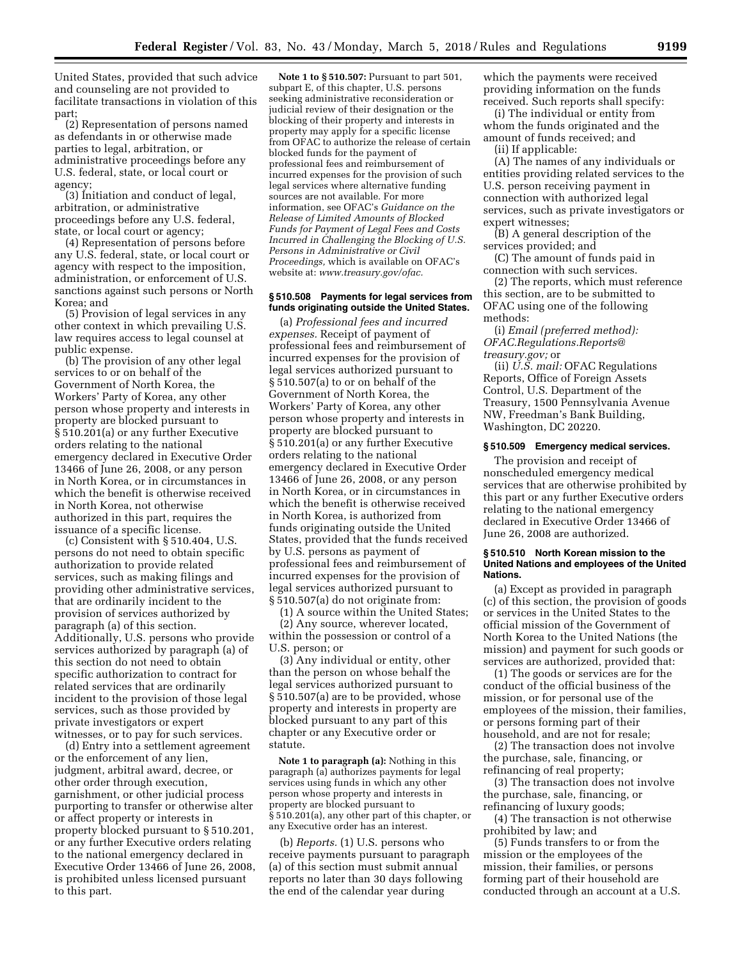United States, provided that such advice and counseling are not provided to facilitate transactions in violation of this part;

(2) Representation of persons named as defendants in or otherwise made parties to legal, arbitration, or administrative proceedings before any U.S. federal, state, or local court or agency;

(3) Initiation and conduct of legal, arbitration, or administrative proceedings before any U.S. federal, state, or local court or agency;

(4) Representation of persons before any U.S. federal, state, or local court or agency with respect to the imposition, administration, or enforcement of U.S. sanctions against such persons or North Korea; and

(5) Provision of legal services in any other context in which prevailing U.S. law requires access to legal counsel at public expense.

(b) The provision of any other legal services to or on behalf of the Government of North Korea, the Workers' Party of Korea, any other person whose property and interests in property are blocked pursuant to § 510.201(a) or any further Executive orders relating to the national emergency declared in Executive Order 13466 of June 26, 2008, or any person in North Korea, or in circumstances in which the benefit is otherwise received in North Korea, not otherwise authorized in this part, requires the issuance of a specific license.

(c) Consistent with § 510.404, U.S. persons do not need to obtain specific authorization to provide related services, such as making filings and providing other administrative services, that are ordinarily incident to the provision of services authorized by paragraph (a) of this section. Additionally, U.S. persons who provide services authorized by paragraph (a) of this section do not need to obtain specific authorization to contract for related services that are ordinarily incident to the provision of those legal services, such as those provided by private investigators or expert witnesses, or to pay for such services.

(d) Entry into a settlement agreement or the enforcement of any lien, judgment, arbitral award, decree, or other order through execution, garnishment, or other judicial process purporting to transfer or otherwise alter or affect property or interests in property blocked pursuant to § 510.201, or any further Executive orders relating to the national emergency declared in Executive Order 13466 of June 26, 2008, is prohibited unless licensed pursuant to this part.

**Note 1 to § 510.507:** Pursuant to part 501, subpart E, of this chapter, U.S. persons seeking administrative reconsideration or judicial review of their designation or the blocking of their property and interests in property may apply for a specific license from OFAC to authorize the release of certain blocked funds for the payment of professional fees and reimbursement of incurred expenses for the provision of such legal services where alternative funding sources are not available. For more information, see OFAC's *Guidance on the Release of Limited Amounts of Blocked Funds for Payment of Legal Fees and Costs Incurred in Challenging the Blocking of U.S. Persons in Administrative or Civil Proceedings,* which is available on OFAC's website at: *www.treasury.gov/ofac.* 

### **§ 510.508 Payments for legal services from funds originating outside the United States.**

(a) *Professional fees and incurred expenses.* Receipt of payment of professional fees and reimbursement of incurred expenses for the provision of legal services authorized pursuant to § 510.507(a) to or on behalf of the Government of North Korea, the Workers' Party of Korea, any other person whose property and interests in property are blocked pursuant to § 510.201(a) or any further Executive orders relating to the national emergency declared in Executive Order 13466 of June 26, 2008, or any person in North Korea, or in circumstances in which the benefit is otherwise received in North Korea, is authorized from funds originating outside the United States, provided that the funds received by U.S. persons as payment of professional fees and reimbursement of incurred expenses for the provision of legal services authorized pursuant to § 510.507(a) do not originate from:

(1) A source within the United States; (2) Any source, wherever located, within the possession or control of a U.S. person; or

(3) Any individual or entity, other than the person on whose behalf the legal services authorized pursuant to § 510.507(a) are to be provided, whose property and interests in property are blocked pursuant to any part of this chapter or any Executive order or statute.

**Note 1 to paragraph (a):** Nothing in this paragraph (a) authorizes payments for legal services using funds in which any other person whose property and interests in property are blocked pursuant to § 510.201(a), any other part of this chapter, or any Executive order has an interest.

(b) *Reports.* (1) U.S. persons who receive payments pursuant to paragraph (a) of this section must submit annual reports no later than 30 days following the end of the calendar year during

which the payments were received providing information on the funds received. Such reports shall specify:

(i) The individual or entity from whom the funds originated and the amount of funds received; and

(ii) If applicable:

(A) The names of any individuals or entities providing related services to the U.S. person receiving payment in connection with authorized legal services, such as private investigators or expert witnesses;

(B) A general description of the services provided; and

(C) The amount of funds paid in connection with such services.

(2) The reports, which must reference this section, are to be submitted to OFAC using one of the following methods:

(i) *Email (preferred method): OFAC.Regulations.Reports@ treasury.gov;* or

(ii) *U.S. mail:* OFAC Regulations Reports, Office of Foreign Assets Control, U.S. Department of the Treasury, 1500 Pennsylvania Avenue NW, Freedman's Bank Building, Washington, DC 20220.

#### **§ 510.509 Emergency medical services.**

The provision and receipt of nonscheduled emergency medical services that are otherwise prohibited by this part or any further Executive orders relating to the national emergency declared in Executive Order 13466 of June 26, 2008 are authorized.

#### **§ 510.510 North Korean mission to the United Nations and employees of the United Nations.**

(a) Except as provided in paragraph (c) of this section, the provision of goods or services in the United States to the official mission of the Government of North Korea to the United Nations (the mission) and payment for such goods or services are authorized, provided that:

(1) The goods or services are for the conduct of the official business of the mission, or for personal use of the employees of the mission, their families, or persons forming part of their household, and are not for resale;

(2) The transaction does not involve the purchase, sale, financing, or refinancing of real property;

(3) The transaction does not involve the purchase, sale, financing, or refinancing of luxury goods;

(4) The transaction is not otherwise prohibited by law; and

(5) Funds transfers to or from the mission or the employees of the mission, their families, or persons forming part of their household are conducted through an account at a U.S.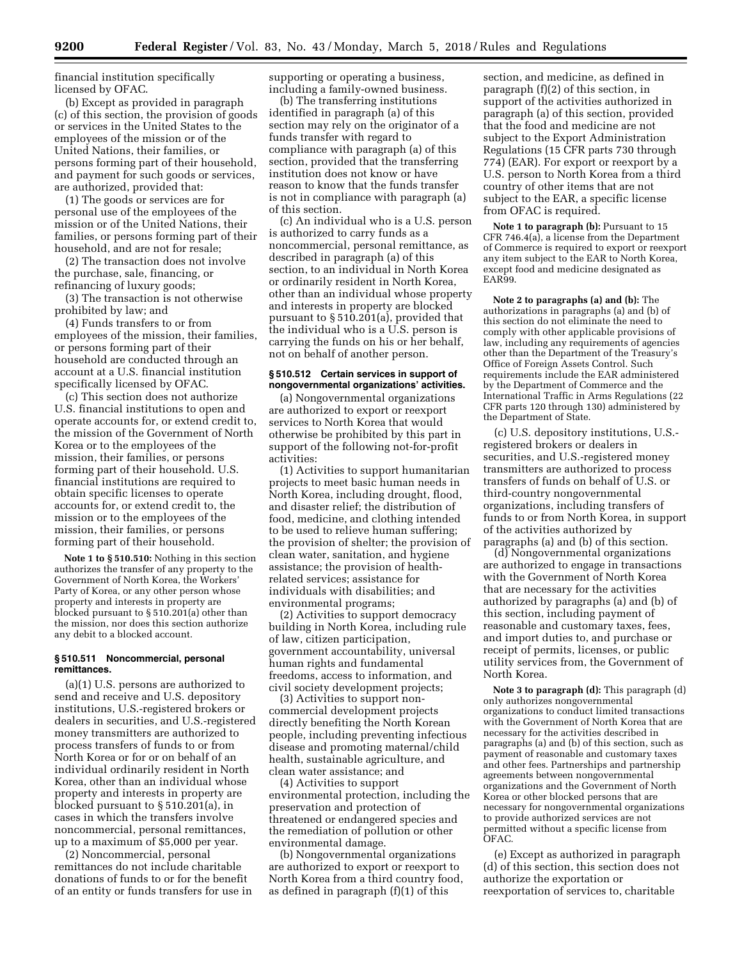financial institution specifically licensed by OFAC.

(b) Except as provided in paragraph (c) of this section, the provision of goods or services in the United States to the employees of the mission or of the United Nations, their families, or persons forming part of their household, and payment for such goods or services, are authorized, provided that:

(1) The goods or services are for personal use of the employees of the mission or of the United Nations, their families, or persons forming part of their household, and are not for resale;

(2) The transaction does not involve the purchase, sale, financing, or refinancing of luxury goods;

(3) The transaction is not otherwise prohibited by law; and

(4) Funds transfers to or from employees of the mission, their families, or persons forming part of their household are conducted through an account at a U.S. financial institution specifically licensed by OFAC.

(c) This section does not authorize U.S. financial institutions to open and operate accounts for, or extend credit to, the mission of the Government of North Korea or to the employees of the mission, their families, or persons forming part of their household. U.S. financial institutions are required to obtain specific licenses to operate accounts for, or extend credit to, the mission or to the employees of the mission, their families, or persons forming part of their household.

**Note 1 to § 510.510:** Nothing in this section authorizes the transfer of any property to the Government of North Korea, the Workers' Party of Korea, or any other person whose property and interests in property are blocked pursuant to § 510.201(a) other than the mission, nor does this section authorize any debit to a blocked account.

### **§ 510.511 Noncommercial, personal remittances.**

(a)(1) U.S. persons are authorized to send and receive and U.S. depository institutions, U.S.-registered brokers or dealers in securities, and U.S.-registered money transmitters are authorized to process transfers of funds to or from North Korea or for or on behalf of an individual ordinarily resident in North Korea, other than an individual whose property and interests in property are blocked pursuant to § 510.201(a), in cases in which the transfers involve noncommercial, personal remittances, up to a maximum of \$5,000 per year.

(2) Noncommercial, personal remittances do not include charitable donations of funds to or for the benefit of an entity or funds transfers for use in supporting or operating a business, including a family-owned business.

(b) The transferring institutions identified in paragraph (a) of this section may rely on the originator of a funds transfer with regard to compliance with paragraph (a) of this section, provided that the transferring institution does not know or have reason to know that the funds transfer is not in compliance with paragraph (a) of this section.

(c) An individual who is a U.S. person is authorized to carry funds as a noncommercial, personal remittance, as described in paragraph (a) of this section, to an individual in North Korea or ordinarily resident in North Korea, other than an individual whose property and interests in property are blocked pursuant to § 510.201(a), provided that the individual who is a U.S. person is carrying the funds on his or her behalf, not on behalf of another person.

### **§ 510.512 Certain services in support of nongovernmental organizations' activities.**

(a) Nongovernmental organizations are authorized to export or reexport services to North Korea that would otherwise be prohibited by this part in support of the following not-for-profit activities:

(1) Activities to support humanitarian projects to meet basic human needs in North Korea, including drought, flood, and disaster relief; the distribution of food, medicine, and clothing intended to be used to relieve human suffering; the provision of shelter; the provision of clean water, sanitation, and hygiene assistance; the provision of healthrelated services; assistance for individuals with disabilities; and environmental programs;

(2) Activities to support democracy building in North Korea, including rule of law, citizen participation, government accountability, universal human rights and fundamental freedoms, access to information, and civil society development projects;

(3) Activities to support noncommercial development projects directly benefiting the North Korean people, including preventing infectious disease and promoting maternal/child health, sustainable agriculture, and clean water assistance; and

(4) Activities to support environmental protection, including the preservation and protection of threatened or endangered species and the remediation of pollution or other environmental damage.

(b) Nongovernmental organizations are authorized to export or reexport to North Korea from a third country food, as defined in paragraph (f)(1) of this

section, and medicine, as defined in paragraph (f)(2) of this section, in support of the activities authorized in paragraph (a) of this section, provided that the food and medicine are not subject to the Export Administration Regulations (15 CFR parts 730 through 774) (EAR). For export or reexport by a U.S. person to North Korea from a third country of other items that are not subject to the EAR, a specific license from OFAC is required.

**Note 1 to paragraph (b):** Pursuant to 15 CFR 746.4(a), a license from the Department of Commerce is required to export or reexport any item subject to the EAR to North Korea, except food and medicine designated as EAR99.

**Note 2 to paragraphs (a) and (b):** The authorizations in paragraphs (a) and (b) of this section do not eliminate the need to comply with other applicable provisions of law, including any requirements of agencies other than the Department of the Treasury's Office of Foreign Assets Control. Such requirements include the EAR administered by the Department of Commerce and the International Traffic in Arms Regulations (22 CFR parts 120 through 130) administered by the Department of State.

(c) U.S. depository institutions, U.S. registered brokers or dealers in securities, and U.S.-registered money transmitters are authorized to process transfers of funds on behalf of U.S. or third-country nongovernmental organizations, including transfers of funds to or from North Korea, in support of the activities authorized by paragraphs (a) and (b) of this section.

(d) Nongovernmental organizations are authorized to engage in transactions with the Government of North Korea that are necessary for the activities authorized by paragraphs (a) and (b) of this section, including payment of reasonable and customary taxes, fees, and import duties to, and purchase or receipt of permits, licenses, or public utility services from, the Government of North Korea.

**Note 3 to paragraph (d):** This paragraph (d) only authorizes nongovernmental organizations to conduct limited transactions with the Government of North Korea that are necessary for the activities described in paragraphs (a) and (b) of this section, such as payment of reasonable and customary taxes and other fees. Partnerships and partnership agreements between nongovernmental organizations and the Government of North Korea or other blocked persons that are necessary for nongovernmental organizations to provide authorized services are not permitted without a specific license from OFAC.

(e) Except as authorized in paragraph (d) of this section, this section does not authorize the exportation or reexportation of services to, charitable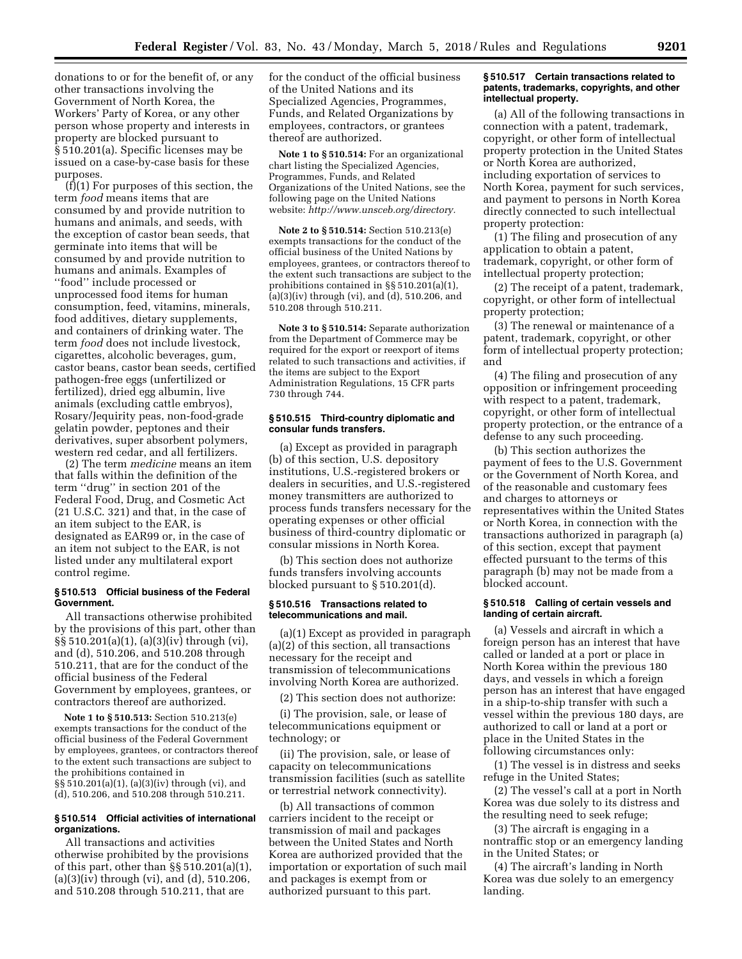donations to or for the benefit of, or any other transactions involving the Government of North Korea, the Workers' Party of Korea, or any other person whose property and interests in property are blocked pursuant to § 510.201(a). Specific licenses may be issued on a case-by-case basis for these purposes.

(f)(1) For purposes of this section, the term *food* means items that are consumed by and provide nutrition to humans and animals, and seeds, with the exception of castor bean seeds, that germinate into items that will be consumed by and provide nutrition to humans and animals. Examples of ''food'' include processed or unprocessed food items for human consumption, feed, vitamins, minerals, food additives, dietary supplements, and containers of drinking water. The term *food* does not include livestock, cigarettes, alcoholic beverages, gum, castor beans, castor bean seeds, certified pathogen-free eggs (unfertilized or fertilized), dried egg albumin, live animals (excluding cattle embryos), Rosary/Jequirity peas, non-food-grade gelatin powder, peptones and their derivatives, super absorbent polymers, western red cedar, and all fertilizers.

(2) The term *medicine* means an item that falls within the definition of the term ''drug'' in section 201 of the Federal Food, Drug, and Cosmetic Act (21 U.S.C. 321) and that, in the case of an item subject to the EAR, is designated as EAR99 or, in the case of an item not subject to the EAR, is not listed under any multilateral export control regime.

# **§ 510.513 Official business of the Federal Government.**

All transactions otherwise prohibited by the provisions of this part, other than §§ 510.201(a)(1), (a)(3)(iv) through (vi), and (d), 510.206, and 510.208 through 510.211, that are for the conduct of the official business of the Federal Government by employees, grantees, or contractors thereof are authorized.

**Note 1 to § 510.513:** Section 510.213(e) exempts transactions for the conduct of the official business of the Federal Government by employees, grantees, or contractors thereof to the extent such transactions are subject to the prohibitions contained in §§ 510.201(a)(1), (a)(3)(iv) through (vi), and (d), 510.206, and 510.208 through 510.211.

### **§ 510.514 Official activities of international organizations.**

All transactions and activities otherwise prohibited by the provisions of this part, other than §§ 510.201(a)(1), (a)(3)(iv) through (vi), and (d), 510.206, and 510.208 through 510.211, that are

for the conduct of the official business of the United Nations and its Specialized Agencies, Programmes, Funds, and Related Organizations by employees, contractors, or grantees thereof are authorized.

**Note 1 to § 510.514:** For an organizational chart listing the Specialized Agencies, Programmes, Funds, and Related Organizations of the United Nations, see the following page on the United Nations website: *http://www.unsceb.org/directory.* 

**Note 2 to § 510.514:** Section 510.213(e) exempts transactions for the conduct of the official business of the United Nations by employees, grantees, or contractors thereof to the extent such transactions are subject to the prohibitions contained in §§ 510.201(a)(1), (a)(3)(iv) through (vi), and (d), 510.206, and 510.208 through 510.211.

**Note 3 to § 510.514:** Separate authorization from the Department of Commerce may be required for the export or reexport of items related to such transactions and activities, if the items are subject to the Export Administration Regulations, 15 CFR parts 730 through 744.

### **§ 510.515 Third-country diplomatic and consular funds transfers.**

(a) Except as provided in paragraph (b) of this section, U.S. depository institutions, U.S.-registered brokers or dealers in securities, and U.S.-registered money transmitters are authorized to process funds transfers necessary for the operating expenses or other official business of third-country diplomatic or consular missions in North Korea.

(b) This section does not authorize funds transfers involving accounts blocked pursuant to § 510.201(d).

#### **§ 510.516 Transactions related to telecommunications and mail.**

(a)(1) Except as provided in paragraph (a)(2) of this section, all transactions necessary for the receipt and transmission of telecommunications involving North Korea are authorized.

(2) This section does not authorize:

(i) The provision, sale, or lease of telecommunications equipment or technology; or

(ii) The provision, sale, or lease of capacity on telecommunications transmission facilities (such as satellite or terrestrial network connectivity).

(b) All transactions of common carriers incident to the receipt or transmission of mail and packages between the United States and North Korea are authorized provided that the importation or exportation of such mail and packages is exempt from or authorized pursuant to this part.

### **§ 510.517 Certain transactions related to patents, trademarks, copyrights, and other intellectual property.**

(a) All of the following transactions in connection with a patent, trademark, copyright, or other form of intellectual property protection in the United States or North Korea are authorized, including exportation of services to North Korea, payment for such services, and payment to persons in North Korea directly connected to such intellectual property protection:

(1) The filing and prosecution of any application to obtain a patent, trademark, copyright, or other form of intellectual property protection;

(2) The receipt of a patent, trademark, copyright, or other form of intellectual property protection;

(3) The renewal or maintenance of a patent, trademark, copyright, or other form of intellectual property protection; and

(4) The filing and prosecution of any opposition or infringement proceeding with respect to a patent, trademark, copyright, or other form of intellectual property protection, or the entrance of a defense to any such proceeding.

(b) This section authorizes the payment of fees to the U.S. Government or the Government of North Korea, and of the reasonable and customary fees and charges to attorneys or representatives within the United States or North Korea, in connection with the transactions authorized in paragraph (a) of this section, except that payment effected pursuant to the terms of this paragraph (b) may not be made from a blocked account.

#### **§ 510.518 Calling of certain vessels and landing of certain aircraft.**

(a) Vessels and aircraft in which a foreign person has an interest that have called or landed at a port or place in North Korea within the previous 180 days, and vessels in which a foreign person has an interest that have engaged in a ship-to-ship transfer with such a vessel within the previous 180 days, are authorized to call or land at a port or place in the United States in the following circumstances only:

(1) The vessel is in distress and seeks refuge in the United States;

(2) The vessel's call at a port in North Korea was due solely to its distress and the resulting need to seek refuge;

(3) The aircraft is engaging in a nontraffic stop or an emergency landing in the United States; or

(4) The aircraft's landing in North Korea was due solely to an emergency landing.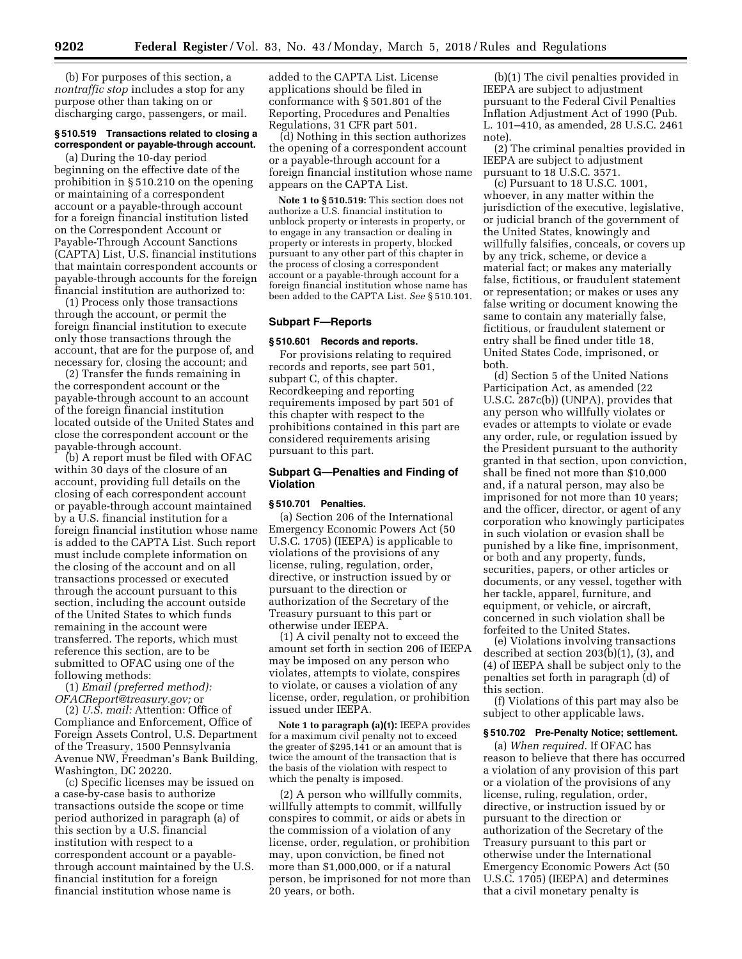(b) For purposes of this section, a *nontraffic stop* includes a stop for any purpose other than taking on or discharging cargo, passengers, or mail.

# **§ 510.519 Transactions related to closing a correspondent or payable-through account.**

(a) During the 10-day period beginning on the effective date of the prohibition in § 510.210 on the opening or maintaining of a correspondent account or a payable-through account for a foreign financial institution listed on the Correspondent Account or Payable-Through Account Sanctions (CAPTA) List, U.S. financial institutions that maintain correspondent accounts or payable-through accounts for the foreign financial institution are authorized to:

(1) Process only those transactions through the account, or permit the foreign financial institution to execute only those transactions through the account, that are for the purpose of, and necessary for, closing the account; and

(2) Transfer the funds remaining in the correspondent account or the payable-through account to an account of the foreign financial institution located outside of the United States and close the correspondent account or the payable-through account.

(b) A report must be filed with OFAC within 30 days of the closure of an account, providing full details on the closing of each correspondent account or payable-through account maintained by a U.S. financial institution for a foreign financial institution whose name is added to the CAPTA List. Such report must include complete information on the closing of the account and on all transactions processed or executed through the account pursuant to this section, including the account outside of the United States to which funds remaining in the account were transferred. The reports, which must reference this section, are to be submitted to OFAC using one of the following methods:

(1) *Email (preferred method): OFACReport@treasury.gov;* or

(2) *U.S. mail:* Attention: Office of Compliance and Enforcement, Office of Foreign Assets Control, U.S. Department of the Treasury, 1500 Pennsylvania Avenue NW, Freedman's Bank Building, Washington, DC 20220.

(c) Specific licenses may be issued on a case-by-case basis to authorize transactions outside the scope or time period authorized in paragraph (a) of this section by a U.S. financial institution with respect to a correspondent account or a payablethrough account maintained by the U.S. financial institution for a foreign financial institution whose name is

added to the CAPTA List. License applications should be filed in conformance with § 501.801 of the Reporting, Procedures and Penalties Regulations, 31 CFR part 501.

(d) Nothing in this section authorizes the opening of a correspondent account or a payable-through account for a foreign financial institution whose name appears on the CAPTA List.

**Note 1 to § 510.519:** This section does not authorize a U.S. financial institution to unblock property or interests in property, or to engage in any transaction or dealing in property or interests in property, blocked pursuant to any other part of this chapter in the process of closing a correspondent account or a payable-through account for a foreign financial institution whose name has been added to the CAPTA List. *See* § 510.101.

### **Subpart F—Reports**

#### **§ 510.601 Records and reports.**

For provisions relating to required records and reports, see part 501, subpart C, of this chapter. Recordkeeping and reporting requirements imposed by part 501 of this chapter with respect to the prohibitions contained in this part are considered requirements arising pursuant to this part.

### **Subpart G—Penalties and Finding of Violation**

### **§ 510.701 Penalties.**

(a) Section 206 of the International Emergency Economic Powers Act (50 U.S.C. 1705) (IEEPA) is applicable to violations of the provisions of any license, ruling, regulation, order, directive, or instruction issued by or pursuant to the direction or authorization of the Secretary of the Treasury pursuant to this part or otherwise under IEEPA.

(1) A civil penalty not to exceed the amount set forth in section 206 of IEEPA may be imposed on any person who violates, attempts to violate, conspires to violate, or causes a violation of any license, order, regulation, or prohibition issued under IEEPA.

**Note 1 to paragraph (a)(1):** IEEPA provides for a maximum civil penalty not to exceed the greater of \$295,141 or an amount that is twice the amount of the transaction that is the basis of the violation with respect to which the penalty is imposed.

(2) A person who willfully commits, willfully attempts to commit, willfully conspires to commit, or aids or abets in the commission of a violation of any license, order, regulation, or prohibition may, upon conviction, be fined not more than \$1,000,000, or if a natural person, be imprisoned for not more than 20 years, or both.

(b)(1) The civil penalties provided in IEEPA are subject to adjustment pursuant to the Federal Civil Penalties Inflation Adjustment Act of 1990 (Pub. L. 101–410, as amended, 28 U.S.C. 2461 note).

(2) The criminal penalties provided in IEEPA are subject to adjustment pursuant to 18 U.S.C. 3571.

(c) Pursuant to 18 U.S.C. 1001, whoever, in any matter within the jurisdiction of the executive, legislative, or judicial branch of the government of the United States, knowingly and willfully falsifies, conceals, or covers up by any trick, scheme, or device a material fact; or makes any materially false, fictitious, or fraudulent statement or representation; or makes or uses any false writing or document knowing the same to contain any materially false, fictitious, or fraudulent statement or entry shall be fined under title 18, United States Code, imprisoned, or both.

(d) Section 5 of the United Nations Participation Act, as amended (22 U.S.C. 287c(b)) (UNPA), provides that any person who willfully violates or evades or attempts to violate or evade any order, rule, or regulation issued by the President pursuant to the authority granted in that section, upon conviction, shall be fined not more than \$10,000 and, if a natural person, may also be imprisoned for not more than 10 years; and the officer, director, or agent of any corporation who knowingly participates in such violation or evasion shall be punished by a like fine, imprisonment, or both and any property, funds, securities, papers, or other articles or documents, or any vessel, together with her tackle, apparel, furniture, and equipment, or vehicle, or aircraft, concerned in such violation shall be forfeited to the United States.

(e) Violations involving transactions described at section 203(b)(1), (3), and (4) of IEEPA shall be subject only to the penalties set forth in paragraph (d) of this section.

(f) Violations of this part may also be subject to other applicable laws.

### **§ 510.702 Pre-Penalty Notice; settlement.**

(a) *When required.* If OFAC has reason to believe that there has occurred a violation of any provision of this part or a violation of the provisions of any license, ruling, regulation, order, directive, or instruction issued by or pursuant to the direction or authorization of the Secretary of the Treasury pursuant to this part or otherwise under the International Emergency Economic Powers Act (50 U.S.C. 1705) (IEEPA) and determines that a civil monetary penalty is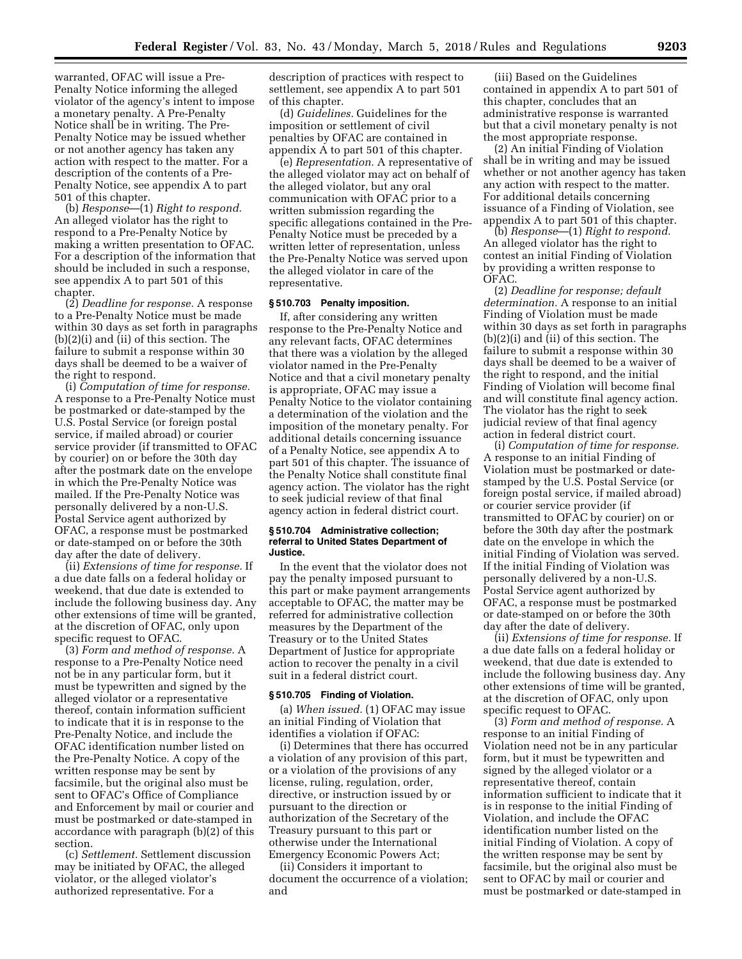warranted, OFAC will issue a Pre-Penalty Notice informing the alleged violator of the agency's intent to impose a monetary penalty. A Pre-Penalty Notice shall be in writing. The Pre-Penalty Notice may be issued whether or not another agency has taken any action with respect to the matter. For a description of the contents of a Pre-Penalty Notice, see appendix A to part 501 of this chapter.

(b) *Response*—(1) *Right to respond.*  An alleged violator has the right to respond to a Pre-Penalty Notice by making a written presentation to OFAC. For a description of the information that should be included in such a response, see appendix A to part 501 of this chapter.

(2) *Deadline for response.* A response to a Pre-Penalty Notice must be made within 30 days as set forth in paragraphs (b)(2)(i) and (ii) of this section. The failure to submit a response within 30 days shall be deemed to be a waiver of the right to respond.

(i) *Computation of time for response.*  A response to a Pre-Penalty Notice must be postmarked or date-stamped by the U.S. Postal Service (or foreign postal service, if mailed abroad) or courier service provider (if transmitted to OFAC by courier) on or before the 30th day after the postmark date on the envelope in which the Pre-Penalty Notice was mailed. If the Pre-Penalty Notice was personally delivered by a non-U.S. Postal Service agent authorized by OFAC, a response must be postmarked or date-stamped on or before the 30th day after the date of delivery.

(ii) *Extensions of time for response.* If a due date falls on a federal holiday or weekend, that due date is extended to include the following business day. Any other extensions of time will be granted, at the discretion of OFAC, only upon specific request to OFAC.

(3) *Form and method of response.* A response to a Pre-Penalty Notice need not be in any particular form, but it must be typewritten and signed by the alleged violator or a representative thereof, contain information sufficient to indicate that it is in response to the Pre-Penalty Notice, and include the OFAC identification number listed on the Pre-Penalty Notice. A copy of the written response may be sent by facsimile, but the original also must be sent to OFAC's Office of Compliance and Enforcement by mail or courier and must be postmarked or date-stamped in accordance with paragraph (b)(2) of this section.

(c) *Settlement.* Settlement discussion may be initiated by OFAC, the alleged violator, or the alleged violator's authorized representative. For a

description of practices with respect to settlement, see appendix A to part 501 of this chapter.

(d) *Guidelines.* Guidelines for the imposition or settlement of civil penalties by OFAC are contained in appendix A to part 501 of this chapter.

(e) *Representation.* A representative of the alleged violator may act on behalf of the alleged violator, but any oral communication with OFAC prior to a written submission regarding the specific allegations contained in the Pre-Penalty Notice must be preceded by a written letter of representation, unless the Pre-Penalty Notice was served upon the alleged violator in care of the representative.

#### **§ 510.703 Penalty imposition.**

If, after considering any written response to the Pre-Penalty Notice and any relevant facts, OFAC determines that there was a violation by the alleged violator named in the Pre-Penalty Notice and that a civil monetary penalty is appropriate, OFAC may issue a Penalty Notice to the violator containing a determination of the violation and the imposition of the monetary penalty. For additional details concerning issuance of a Penalty Notice, see appendix A to part 501 of this chapter. The issuance of the Penalty Notice shall constitute final agency action. The violator has the right to seek judicial review of that final agency action in federal district court.

### **§ 510.704 Administrative collection; referral to United States Department of Justice.**

In the event that the violator does not pay the penalty imposed pursuant to this part or make payment arrangements acceptable to OFAC, the matter may be referred for administrative collection measures by the Department of the Treasury or to the United States Department of Justice for appropriate action to recover the penalty in a civil suit in a federal district court.

#### **§ 510.705 Finding of Violation.**

(a) *When issued.* (1) OFAC may issue an initial Finding of Violation that identifies a violation if OFAC:

(i) Determines that there has occurred a violation of any provision of this part, or a violation of the provisions of any license, ruling, regulation, order, directive, or instruction issued by or pursuant to the direction or authorization of the Secretary of the Treasury pursuant to this part or otherwise under the International Emergency Economic Powers Act;

(ii) Considers it important to document the occurrence of a violation; and

(iii) Based on the Guidelines contained in appendix A to part 501 of this chapter, concludes that an administrative response is warranted but that a civil monetary penalty is not the most appropriate response.

(2) An initial Finding of Violation shall be in writing and may be issued whether or not another agency has taken any action with respect to the matter. For additional details concerning issuance of a Finding of Violation, see appendix A to part 501 of this chapter.

(b) *Response*—(1) *Right to respond.*  An alleged violator has the right to contest an initial Finding of Violation by providing a written response to OFAC.

(2) *Deadline for response; default determination.* A response to an initial Finding of Violation must be made within 30 days as set forth in paragraphs (b)(2)(i) and (ii) of this section. The failure to submit a response within 30 days shall be deemed to be a waiver of the right to respond, and the initial Finding of Violation will become final and will constitute final agency action. The violator has the right to seek judicial review of that final agency action in federal district court.

(i) *Computation of time for response.*  A response to an initial Finding of Violation must be postmarked or datestamped by the U.S. Postal Service (or foreign postal service, if mailed abroad) or courier service provider (if transmitted to OFAC by courier) on or before the 30th day after the postmark date on the envelope in which the initial Finding of Violation was served. If the initial Finding of Violation was personally delivered by a non-U.S. Postal Service agent authorized by OFAC, a response must be postmarked or date-stamped on or before the 30th day after the date of delivery.

(ii) *Extensions of time for response.* If a due date falls on a federal holiday or weekend, that due date is extended to include the following business day. Any other extensions of time will be granted, at the discretion of OFAC, only upon specific request to OFAC.

(3) *Form and method of response.* A response to an initial Finding of Violation need not be in any particular form, but it must be typewritten and signed by the alleged violator or a representative thereof, contain information sufficient to indicate that it is in response to the initial Finding of Violation, and include the OFAC identification number listed on the initial Finding of Violation. A copy of the written response may be sent by facsimile, but the original also must be sent to OFAC by mail or courier and must be postmarked or date-stamped in